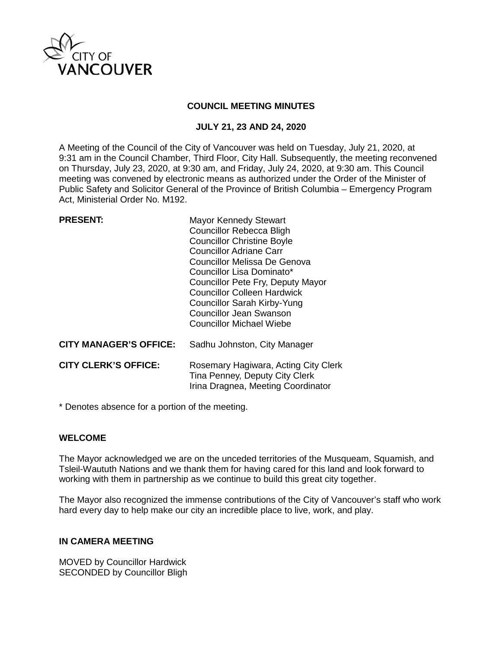

### **COUNCIL MEETING MINUTES**

## **JULY 21, 23 AND 24, 2020**

A Meeting of the Council of the City of Vancouver was held on Tuesday, July 21, 2020, at 9:31 am in the Council Chamber, Third Floor, City Hall. Subsequently, the meeting reconvened on Thursday, July 23, 2020, at 9:30 am, and Friday, July 24, 2020, at 9:30 am. This Council meeting was convened by electronic means as authorized under the Order of the Minister of Public Safety and Solicitor General of the Province of British Columbia – Emergency Program Act, Ministerial Order No. M192.

| <b>Mayor Kennedy Stewart</b><br><b>Councillor Rebecca Bligh</b><br><b>Councillor Christine Boyle</b><br><b>Councillor Adriane Carr</b><br>Councillor Melissa De Genova<br>Councillor Lisa Dominato*<br>Councillor Pete Fry, Deputy Mayor<br>Councillor Colleen Hardwick<br><b>Councillor Sarah Kirby-Yung</b><br><b>Councillor Jean Swanson</b><br>Councillor Michael Wiebe |
|-----------------------------------------------------------------------------------------------------------------------------------------------------------------------------------------------------------------------------------------------------------------------------------------------------------------------------------------------------------------------------|
| Sadhu Johnston, City Manager                                                                                                                                                                                                                                                                                                                                                |
| Rosemary Hagiwara, Acting City Clerk<br>Tina Penney, Deputy City Clerk<br>Irina Dragnea, Meeting Coordinator                                                                                                                                                                                                                                                                |
|                                                                                                                                                                                                                                                                                                                                                                             |

\* Denotes absence for a portion of the meeting.

## **WELCOME**

The Mayor acknowledged we are on the unceded territories of the Musqueam, Squamish, and Tsleil-Waututh Nations and we thank them for having cared for this land and look forward to working with them in partnership as we continue to build this great city together.

The Mayor also recognized the immense contributions of the City of Vancouver's staff who work hard every day to help make our city an incredible place to live, work, and play.

### **IN CAMERA MEETING**

MOVED by Councillor Hardwick SECONDED by Councillor Bligh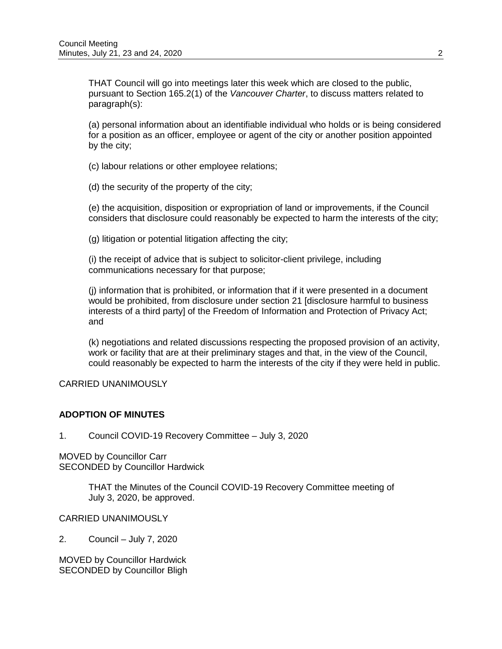THAT Council will go into meetings later this week which are closed to the public, pursuant to Section 165.2(1) of the *Vancouver Charter*, to discuss matters related to paragraph(s):

(a) personal information about an identifiable individual who holds or is being considered for a position as an officer, employee or agent of the city or another position appointed by the city;

(c) labour relations or other employee relations;

(d) the security of the property of the city;

(e) the acquisition, disposition or expropriation of land or improvements, if the Council considers that disclosure could reasonably be expected to harm the interests of the city;

(g) litigation or potential litigation affecting the city;

(i) the receipt of advice that is subject to solicitor-client privilege, including communications necessary for that purpose;

(j) information that is prohibited, or information that if it were presented in a document would be prohibited, from disclosure under section 21 [disclosure harmful to business interests of a third party] of the Freedom of Information and Protection of Privacy Act; and

(k) negotiations and related discussions respecting the proposed provision of an activity, work or facility that are at their preliminary stages and that, in the view of the Council, could reasonably be expected to harm the interests of the city if they were held in public.

# CARRIED UNANIMOUSLY

## **ADOPTION OF MINUTES**

1. Council COVID-19 Recovery Committee – July 3, 2020

MOVED by Councillor Carr SECONDED by Councillor Hardwick

> THAT the Minutes of the Council COVID-19 Recovery Committee meeting of July 3, 2020, be approved.

CARRIED UNANIMOUSLY

2. Council – July 7, 2020

MOVED by Councillor Hardwick SECONDED by Councillor Bligh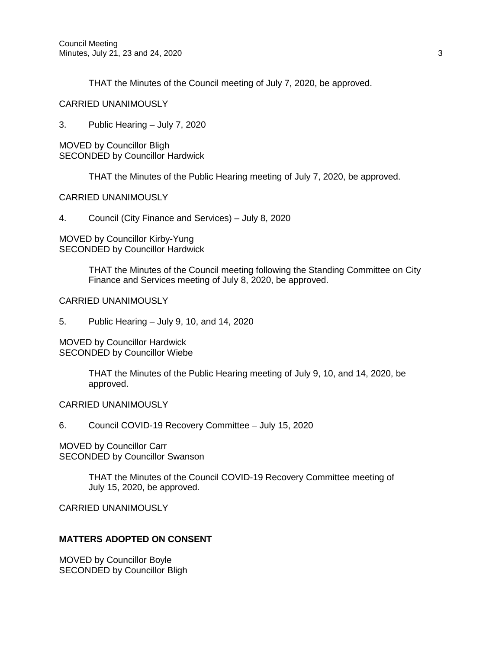THAT the Minutes of the Council meeting of July 7, 2020, be approved.

CARRIED UNANIMOUSLY

3. Public Hearing – July 7, 2020

MOVED by Councillor Bligh SECONDED by Councillor Hardwick

THAT the Minutes of the Public Hearing meeting of July 7, 2020, be approved.

CARRIED UNANIMOUSLY

4. Council (City Finance and Services) – July 8, 2020

MOVED by Councillor Kirby-Yung SECONDED by Councillor Hardwick

> THAT the Minutes of the Council meeting following the Standing Committee on City Finance and Services meeting of July 8, 2020, be approved.

### CARRIED UNANIMOUSLY

5. Public Hearing – July 9, 10, and 14, 2020

MOVED by Councillor Hardwick SECONDED by Councillor Wiebe

> THAT the Minutes of the Public Hearing meeting of July 9, 10, and 14, 2020, be approved.

CARRIED UNANIMOUSLY

6. Council COVID-19 Recovery Committee – July 15, 2020

MOVED by Councillor Carr SECONDED by Councillor Swanson

> THAT the Minutes of the Council COVID-19 Recovery Committee meeting of July 15, 2020, be approved.

CARRIED UNANIMOUSLY

## **MATTERS ADOPTED ON CONSENT**

MOVED by Councillor Boyle SECONDED by Councillor Bligh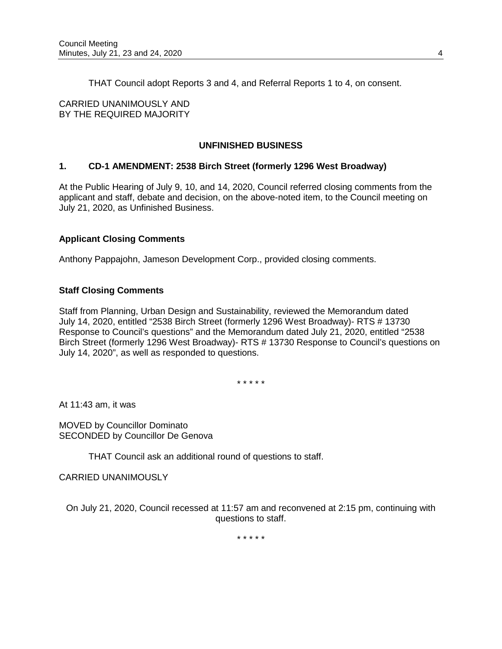THAT Council adopt Reports 3 and 4, and Referral Reports 1 to 4, on consent.

CARRIED UNANIMOUSLY AND BY THE REQUIRED MAJORITY

# **UNFINISHED BUSINESS**

## **1. CD-1 AMENDMENT: 2538 Birch Street (formerly 1296 West Broadway)**

At the Public Hearing of July 9, 10, and 14, 2020, Council referred closing comments from the applicant and staff, debate and decision, on the above-noted item, to the Council meeting on July 21, 2020, as Unfinished Business.

## **Applicant Closing Comments**

Anthony Pappajohn, Jameson Development Corp., provided closing comments.

### **Staff Closing Comments**

Staff from Planning, Urban Design and Sustainability, reviewed the Memorandum dated July 14, 2020, entitled "2538 Birch Street (formerly 1296 West Broadway)- RTS # 13730 Response to Council's questions" and the Memorandum dated July 21, 2020, entitled "2538 Birch Street (formerly 1296 West Broadway)- RTS # 13730 Response to Council's questions on July 14, 2020", as well as responded to questions.

\* \* \* \* \*

At 11:43 am, it was

MOVED by Councillor Dominato SECONDED by Councillor De Genova

THAT Council ask an additional round of questions to staff.

CARRIED UNANIMOUSLY

On July 21, 2020, Council recessed at 11:57 am and reconvened at 2:15 pm, continuing with questions to staff.

\* \* \* \* \*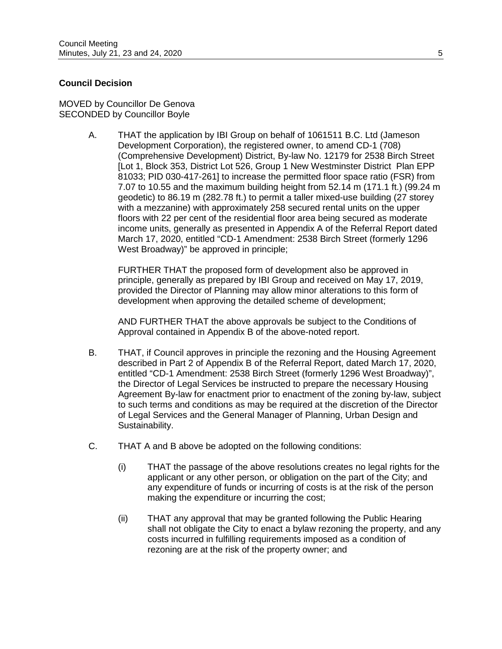## **Council Decision**

MOVED by Councillor De Genova SECONDED by Councillor Boyle

> A. THAT the application by IBI Group on behalf of 1061511 B.C. Ltd (Jameson Development Corporation), the registered owner, to amend CD-1 (708) (Comprehensive Development) District, By-law No. 12179 for 2538 Birch Street [Lot 1, Block 353, District Lot 526, Group 1 New Westminster District Plan EPP 81033; PID 030-417-261] to increase the permitted floor space ratio (FSR) from 7.07 to 10.55 and the maximum building height from 52.14 m (171.1 ft.) (99.24 m geodetic) to 86.19 m (282.78 ft.) to permit a taller mixed-use building (27 storey with a mezzanine) with approximately 258 secured rental units on the upper floors with 22 per cent of the residential floor area being secured as moderate income units, generally as presented in Appendix A of the Referral Report dated March 17, 2020, entitled "CD-1 Amendment: 2538 Birch Street (formerly 1296 West Broadway)" be approved in principle;

FURTHER THAT the proposed form of development also be approved in principle, generally as prepared by IBI Group and received on May 17, 2019, provided the Director of Planning may allow minor alterations to this form of development when approving the detailed scheme of development;

AND FURTHER THAT the above approvals be subject to the Conditions of Approval contained in Appendix B of the above-noted report.

- B. THAT, if Council approves in principle the rezoning and the Housing Agreement described in Part 2 of Appendix B of the Referral Report, dated March 17, 2020, entitled "CD-1 Amendment: 2538 Birch Street (formerly 1296 West Broadway)", the Director of Legal Services be instructed to prepare the necessary Housing Agreement By-law for enactment prior to enactment of the zoning by-law, subject to such terms and conditions as may be required at the discretion of the Director of Legal Services and the General Manager of Planning, Urban Design and Sustainability.
- C. THAT A and B above be adopted on the following conditions:
	- (i) THAT the passage of the above resolutions creates no legal rights for the applicant or any other person, or obligation on the part of the City; and any expenditure of funds or incurring of costs is at the risk of the person making the expenditure or incurring the cost;
	- (ii) THAT any approval that may be granted following the Public Hearing shall not obligate the City to enact a bylaw rezoning the property, and any costs incurred in fulfilling requirements imposed as a condition of rezoning are at the risk of the property owner; and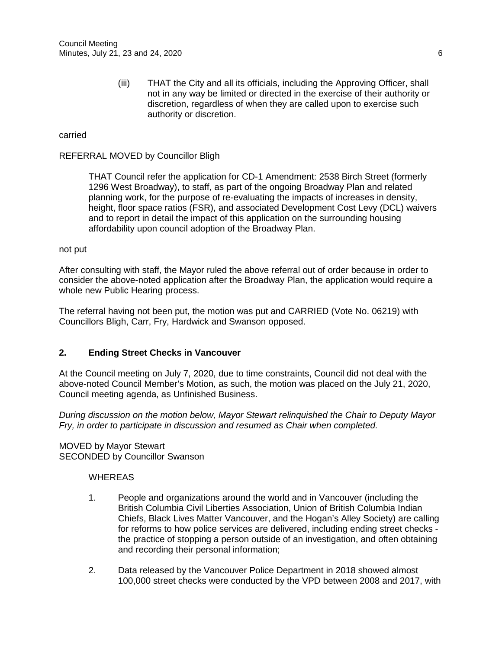(iii) THAT the City and all its officials, including the Approving Officer, shall not in any way be limited or directed in the exercise of their authority or discretion, regardless of when they are called upon to exercise such authority or discretion.

#### carried

#### REFERRAL MOVED by Councillor Bligh

THAT Council refer the application for CD-1 Amendment: 2538 Birch Street (formerly 1296 West Broadway), to staff, as part of the ongoing Broadway Plan and related planning work, for the purpose of re-evaluating the impacts of increases in density, height, floor space ratios (FSR), and associated Development Cost Levy (DCL) waivers and to report in detail the impact of this application on the surrounding housing affordability upon council adoption of the Broadway Plan.

#### not put

After consulting with staff, the Mayor ruled the above referral out of order because in order to consider the above-noted application after the Broadway Plan, the application would require a whole new Public Hearing process.

The referral having not been put, the motion was put and CARRIED (Vote No. 06219) with Councillors Bligh, Carr, Fry, Hardwick and Swanson opposed.

#### **2. Ending Street Checks in Vancouver**

At the Council meeting on July 7, 2020, due to time constraints, Council did not deal with the above-noted Council Member's Motion, as such, the motion was placed on the July 21, 2020, Council meeting agenda, as Unfinished Business.

*During discussion on the motion below, Mayor Stewart relinquished the Chair to Deputy Mayor Fry, in order to participate in discussion and resumed as Chair when completed.*

MOVED by Mayor Stewart SECONDED by Councillor Swanson

#### **WHEREAS**

- 1. People and organizations around the world and in Vancouver (including the British Columbia Civil Liberties Association, Union of British Columbia Indian Chiefs, Black Lives Matter Vancouver, and the Hogan's Alley Society) are calling for reforms to how police services are delivered, including ending street checks the practice of stopping a person outside of an investigation, and often obtaining and recording their personal information;
- 2. Data released by the Vancouver Police Department in 2018 showed almost 100,000 street checks were conducted by the VPD between 2008 and 2017, with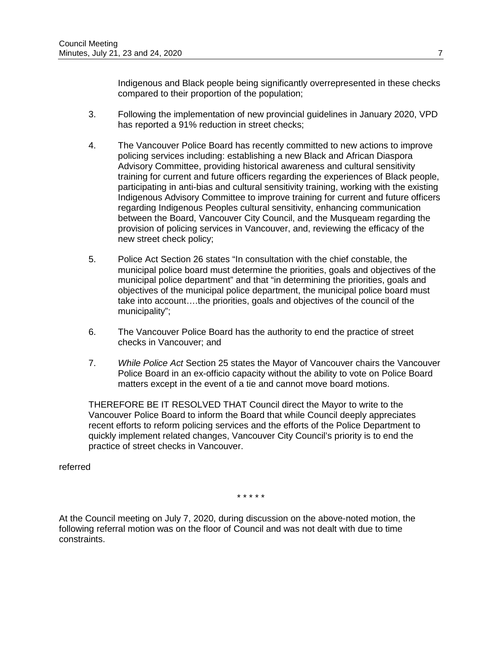Indigenous and Black people being significantly overrepresented in these checks compared to their proportion of the population;

- 3. Following the implementation of new provincial guidelines in January 2020, VPD has reported a 91% reduction in street checks;
- 4. The Vancouver Police Board has recently committed to new actions to improve policing services including: establishing a new Black and African Diaspora Advisory Committee, providing historical awareness and cultural sensitivity training for current and future officers regarding the experiences of Black people, participating in anti-bias and cultural sensitivity training, working with the existing Indigenous Advisory Committee to improve training for current and future officers regarding Indigenous Peoples cultural sensitivity, enhancing communication between the Board, Vancouver City Council, and the Musqueam regarding the provision of policing services in Vancouver, and, reviewing the efficacy of the new street check policy;
- 5. Police Act Section 26 states "In consultation with the chief constable, the municipal police board must determine the priorities, goals and objectives of the municipal police department" and that "in determining the priorities, goals and objectives of the municipal police department, the municipal police board must take into account….the priorities, goals and objectives of the council of the municipality";
- 6. The Vancouver Police Board has the authority to end the practice of street checks in Vancouver; and
- 7. *While Police Act* Section 25 states the Mayor of Vancouver chairs the Vancouver Police Board in an ex-officio capacity without the ability to vote on Police Board matters except in the event of a tie and cannot move board motions.

THEREFORE BE IT RESOLVED THAT Council direct the Mayor to write to the Vancouver Police Board to inform the Board that while Council deeply appreciates recent efforts to reform policing services and the efforts of the Police Department to quickly implement related changes, Vancouver City Council's priority is to end the practice of street checks in Vancouver.

referred

\* \* \* \* \*

At the Council meeting on July 7, 2020, during discussion on the above-noted motion, the following referral motion was on the floor of Council and was not dealt with due to time constraints.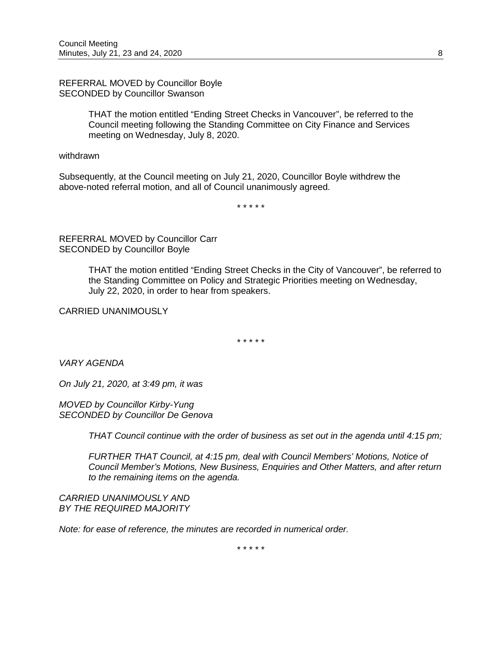REFERRAL MOVED by Councillor Boyle SECONDED by Councillor Swanson

> THAT the motion entitled "Ending Street Checks in Vancouver", be referred to the Council meeting following the Standing Committee on City Finance and Services meeting on Wednesday, July 8, 2020.

withdrawn

Subsequently, at the Council meeting on July 21, 2020, Councillor Boyle withdrew the above-noted referral motion, and all of Council unanimously agreed.

\* \* \* \* \*

REFERRAL MOVED by Councillor Carr SECONDED by Councillor Boyle

> THAT the motion entitled "Ending Street Checks in the City of Vancouver", be referred to the Standing Committee on Policy and Strategic Priorities meeting on Wednesday, July 22, 2020, in order to hear from speakers.

CARRIED UNANIMOUSLY

\* \* \* \* \*

*VARY AGENDA*

*On July 21, 2020, at 3:49 pm, it was*

*MOVED by Councillor Kirby-Yung SECONDED by Councillor De Genova*

*THAT Council continue with the order of business as set out in the agenda until 4:15 pm;*

*FURTHER THAT Council, at 4:15 pm, deal with Council Members' Motions, Notice of Council Member's Motions, New Business, Enquiries and Other Matters, and after return to the remaining items on the agenda.*

*CARRIED UNANIMOUSLY AND BY THE REQUIRED MAJORITY*

*Note: for ease of reference, the minutes are recorded in numerical order.*

\* \* \* \* \*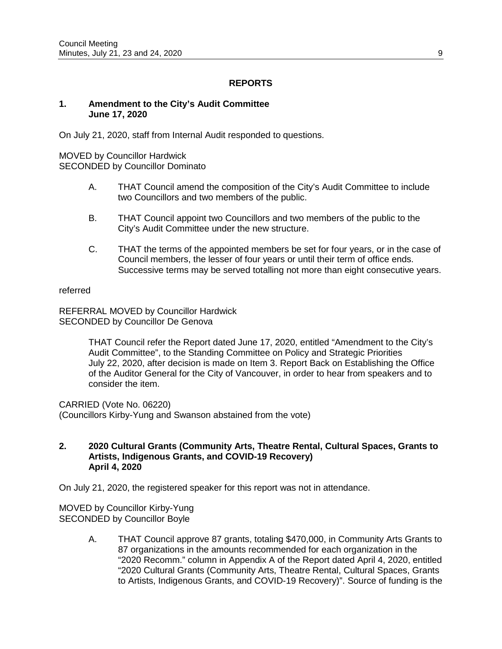# **REPORTS**

### **1. Amendment to the City's Audit Committee June 17, 2020**

On July 21, 2020, staff from Internal Audit responded to questions.

MOVED by Councillor Hardwick SECONDED by Councillor Dominato

- A. THAT Council amend the composition of the City's Audit Committee to include two Councillors and two members of the public.
- B. THAT Council appoint two Councillors and two members of the public to the City's Audit Committee under the new structure.
- C. THAT the terms of the appointed members be set for four years, or in the case of Council members, the lesser of four years or until their term of office ends. Successive terms may be served totalling not more than eight consecutive years.

#### referred

REFERRAL MOVED by Councillor Hardwick SECONDED by Councillor De Genova

> THAT Council refer the Report dated June 17, 2020, entitled "Amendment to the City's Audit Committee", to the Standing Committee on Policy and Strategic Priorities July 22, 2020, after decision is made on Item 3. Report Back on Establishing the Office of the Auditor General for the City of Vancouver, in order to hear from speakers and to consider the item.

CARRIED (Vote No. 06220) (Councillors Kirby-Yung and Swanson abstained from the vote)

#### **2. 2020 Cultural Grants (Community Arts, Theatre Rental, Cultural Spaces, Grants to Artists, Indigenous Grants, and COVID-19 Recovery) April 4, 2020**

On July 21, 2020, the registered speaker for this report was not in attendance.

MOVED by Councillor Kirby-Yung SECONDED by Councillor Boyle

> A. THAT Council approve 87 grants, totaling \$470,000, in Community Arts Grants to 87 organizations in the amounts recommended for each organization in the "2020 Recomm." column in Appendix A of the Report dated April 4, 2020, entitled "2020 Cultural Grants (Community Arts, Theatre Rental, Cultural Spaces, Grants to Artists, Indigenous Grants, and COVID-19 Recovery)". Source of funding is the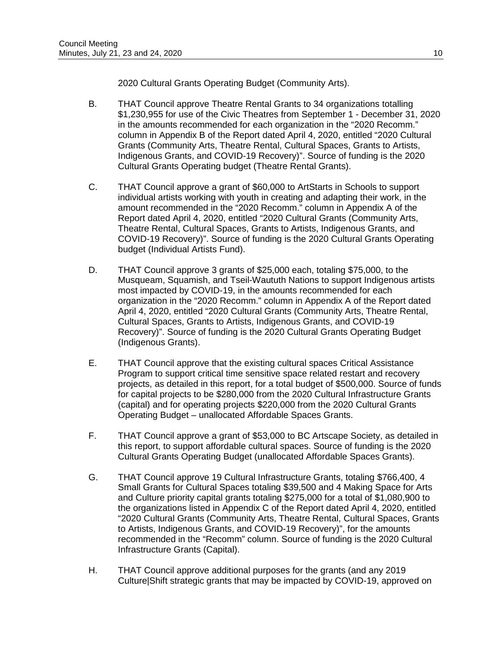2020 Cultural Grants Operating Budget (Community Arts).

- B. THAT Council approve Theatre Rental Grants to 34 organizations totalling \$1,230,955 for use of the Civic Theatres from September 1 - December 31, 2020 in the amounts recommended for each organization in the "2020 Recomm." column in Appendix B of the Report dated April 4, 2020, entitled "2020 Cultural Grants (Community Arts, Theatre Rental, Cultural Spaces, Grants to Artists, Indigenous Grants, and COVID-19 Recovery)". Source of funding is the 2020 Cultural Grants Operating budget (Theatre Rental Grants).
- C. THAT Council approve a grant of \$60,000 to ArtStarts in Schools to support individual artists working with youth in creating and adapting their work, in the amount recommended in the "2020 Recomm." column in Appendix A of the Report dated April 4, 2020, entitled "2020 Cultural Grants (Community Arts, Theatre Rental, Cultural Spaces, Grants to Artists, Indigenous Grants, and COVID-19 Recovery)". Source of funding is the 2020 Cultural Grants Operating budget (Individual Artists Fund).
- D. THAT Council approve 3 grants of \$25,000 each, totaling \$75,000, to the Musqueam, Squamish, and Tseil-Waututh Nations to support Indigenous artists most impacted by COVID-19, in the amounts recommended for each organization in the "2020 Recomm." column in Appendix A of the Report dated April 4, 2020, entitled "2020 Cultural Grants (Community Arts, Theatre Rental, Cultural Spaces, Grants to Artists, Indigenous Grants, and COVID-19 Recovery)". Source of funding is the 2020 Cultural Grants Operating Budget (Indigenous Grants).
- E. THAT Council approve that the existing cultural spaces Critical Assistance Program to support critical time sensitive space related restart and recovery projects, as detailed in this report, for a total budget of \$500,000. Source of funds for capital projects to be \$280,000 from the 2020 Cultural Infrastructure Grants (capital) and for operating projects \$220,000 from the 2020 Cultural Grants Operating Budget – unallocated Affordable Spaces Grants.
- F. THAT Council approve a grant of \$53,000 to BC Artscape Society, as detailed in this report, to support affordable cultural spaces. Source of funding is the 2020 Cultural Grants Operating Budget (unallocated Affordable Spaces Grants).
- G. THAT Council approve 19 Cultural Infrastructure Grants, totaling \$766,400, 4 Small Grants for Cultural Spaces totaling \$39,500 and 4 Making Space for Arts and Culture priority capital grants totaling \$275,000 for a total of \$1,080,900 to the organizations listed in Appendix C of the Report dated April 4, 2020, entitled "2020 Cultural Grants (Community Arts, Theatre Rental, Cultural Spaces, Grants to Artists, Indigenous Grants, and COVID-19 Recovery)", for the amounts recommended in the "Recomm" column. Source of funding is the 2020 Cultural Infrastructure Grants (Capital).
- H. THAT Council approve additional purposes for the grants (and any 2019 Culture|Shift strategic grants that may be impacted by COVID-19, approved on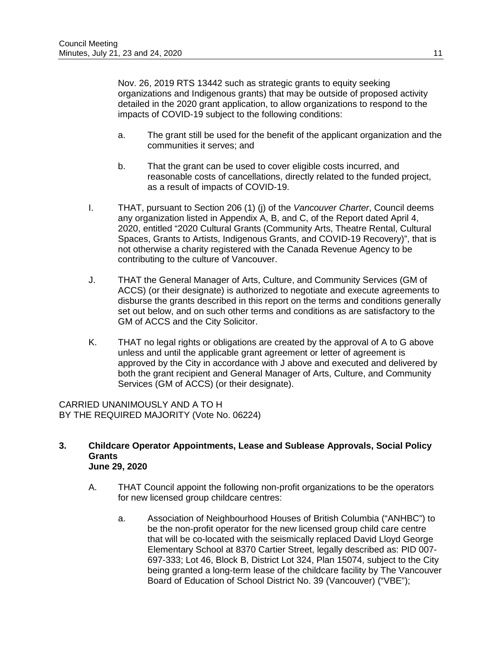Nov. 26, 2019 RTS 13442 such as strategic grants to equity seeking organizations and Indigenous grants) that may be outside of proposed activity detailed in the 2020 grant application, to allow organizations to respond to the impacts of COVID-19 subject to the following conditions:

- a. The grant still be used for the benefit of the applicant organization and the communities it serves; and
- b. That the grant can be used to cover eligible costs incurred, and reasonable costs of cancellations, directly related to the funded project, as a result of impacts of COVID-19.
- I. THAT, pursuant to Section 206 (1) (j) of the *Vancouver Charter*, Council deems any organization listed in Appendix A, B, and C, of the Report dated April 4, 2020, entitled "2020 Cultural Grants (Community Arts, Theatre Rental, Cultural Spaces, Grants to Artists, Indigenous Grants, and COVID-19 Recovery)", that is not otherwise a charity registered with the Canada Revenue Agency to be contributing to the culture of Vancouver.
- J. THAT the General Manager of Arts, Culture, and Community Services (GM of ACCS) (or their designate) is authorized to negotiate and execute agreements to disburse the grants described in this report on the terms and conditions generally set out below, and on such other terms and conditions as are satisfactory to the GM of ACCS and the City Solicitor.
- K. THAT no legal rights or obligations are created by the approval of A to G above unless and until the applicable grant agreement or letter of agreement is approved by the City in accordance with J above and executed and delivered by both the grant recipient and General Manager of Arts, Culture, and Community Services (GM of ACCS) (or their designate).

CARRIED UNANIMOUSLY AND A TO H BY THE REQUIRED MAJORITY (Vote No. 06224)

- **3. Childcare Operator Appointments, Lease and Sublease Approvals, Social Policy Grants June 29, 2020**
	- A. THAT Council appoint the following non-profit organizations to be the operators for new licensed group childcare centres:
		- a. Association of Neighbourhood Houses of British Columbia ("ANHBC") to be the non-profit operator for the new licensed group child care centre that will be co-located with the seismically replaced David Lloyd George Elementary School at 8370 Cartier Street, legally described as: PID 007- 697-333; Lot 46, Block B, District Lot 324, Plan 15074, subject to the City being granted a long-term lease of the childcare facility by The Vancouver Board of Education of School District No. 39 (Vancouver) ("VBE");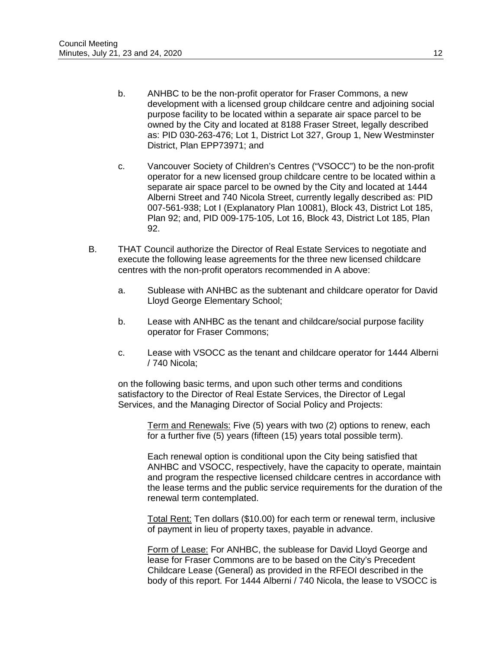- b. ANHBC to be the non-profit operator for Fraser Commons, a new development with a licensed group childcare centre and adjoining social purpose facility to be located within a separate air space parcel to be owned by the City and located at 8188 Fraser Street, legally described as: PID 030-263-476; Lot 1, District Lot 327, Group 1, New Westminster District, Plan EPP73971; and
- c. Vancouver Society of Children's Centres ("VSOCC") to be the non-profit operator for a new licensed group childcare centre to be located within a separate air space parcel to be owned by the City and located at 1444 Alberni Street and 740 Nicola Street, currently legally described as: PID 007-561-938; Lot I (Explanatory Plan 10081), Block 43, District Lot 185, Plan 92; and, PID 009-175-105, Lot 16, Block 43, District Lot 185, Plan 92.
- B. THAT Council authorize the Director of Real Estate Services to negotiate and execute the following lease agreements for the three new licensed childcare centres with the non-profit operators recommended in A above:
	- a. Sublease with ANHBC as the subtenant and childcare operator for David Lloyd George Elementary School;
	- b. Lease with ANHBC as the tenant and childcare/social purpose facility operator for Fraser Commons;
	- c. Lease with VSOCC as the tenant and childcare operator for 1444 Alberni / 740 Nicola;

on the following basic terms, and upon such other terms and conditions satisfactory to the Director of Real Estate Services, the Director of Legal Services, and the Managing Director of Social Policy and Projects:

> Term and Renewals: Five (5) years with two (2) options to renew, each for a further five (5) years (fifteen (15) years total possible term).

Each renewal option is conditional upon the City being satisfied that ANHBC and VSOCC, respectively, have the capacity to operate, maintain and program the respective licensed childcare centres in accordance with the lease terms and the public service requirements for the duration of the renewal term contemplated.

Total Rent: Ten dollars (\$10.00) for each term or renewal term, inclusive of payment in lieu of property taxes, payable in advance.

Form of Lease: For ANHBC, the sublease for David Lloyd George and lease for Fraser Commons are to be based on the City's Precedent Childcare Lease (General) as provided in the RFEOI described in the body of this report. For 1444 Alberni / 740 Nicola, the lease to VSOCC is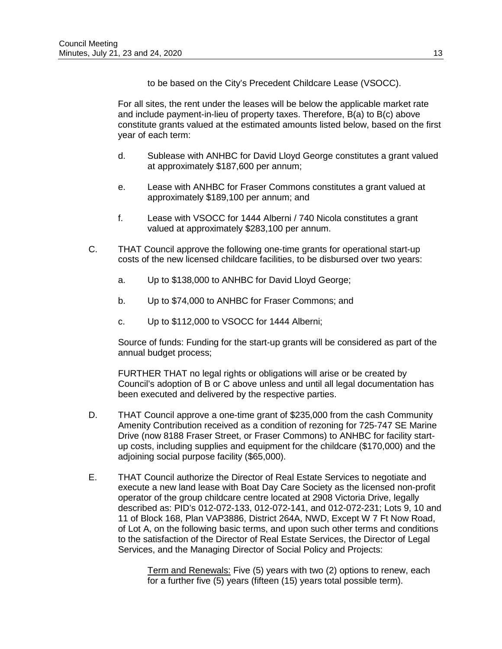to be based on the City's Precedent Childcare Lease (VSOCC).

For all sites, the rent under the leases will be below the applicable market rate and include payment-in-lieu of property taxes. Therefore, B(a) to B(c) above constitute grants valued at the estimated amounts listed below, based on the first year of each term:

- d. Sublease with ANHBC for David Lloyd George constitutes a grant valued at approximately \$187,600 per annum;
- e. Lease with ANHBC for Fraser Commons constitutes a grant valued at approximately \$189,100 per annum; and
- f. Lease with VSOCC for 1444 Alberni / 740 Nicola constitutes a grant valued at approximately \$283,100 per annum.
- C. THAT Council approve the following one-time grants for operational start-up costs of the new licensed childcare facilities, to be disbursed over two years:
	- a. Up to \$138,000 to ANHBC for David Lloyd George;
	- b. Up to \$74,000 to ANHBC for Fraser Commons; and
	- c. Up to \$112,000 to VSOCC for 1444 Alberni;

Source of funds: Funding for the start-up grants will be considered as part of the annual budget process;

FURTHER THAT no legal rights or obligations will arise or be created by Council's adoption of B or C above unless and until all legal documentation has been executed and delivered by the respective parties.

- D. THAT Council approve a one-time grant of \$235,000 from the cash Community Amenity Contribution received as a condition of rezoning for 725-747 SE Marine Drive (now 8188 Fraser Street, or Fraser Commons) to ANHBC for facility startup costs, including supplies and equipment for the childcare (\$170,000) and the adjoining social purpose facility (\$65,000).
- E. THAT Council authorize the Director of Real Estate Services to negotiate and execute a new land lease with Boat Day Care Society as the licensed non-profit operator of the group childcare centre located at 2908 Victoria Drive, legally described as: PID's 012-072-133, 012-072-141, and 012-072-231; Lots 9, 10 and 11 of Block 168, Plan VAP3886, District 264A, NWD, Except W 7 Ft Now Road, of Lot A, on the following basic terms, and upon such other terms and conditions to the satisfaction of the Director of Real Estate Services, the Director of Legal Services, and the Managing Director of Social Policy and Projects:

Term and Renewals: Five (5) years with two (2) options to renew, each for a further five (5) years (fifteen (15) years total possible term).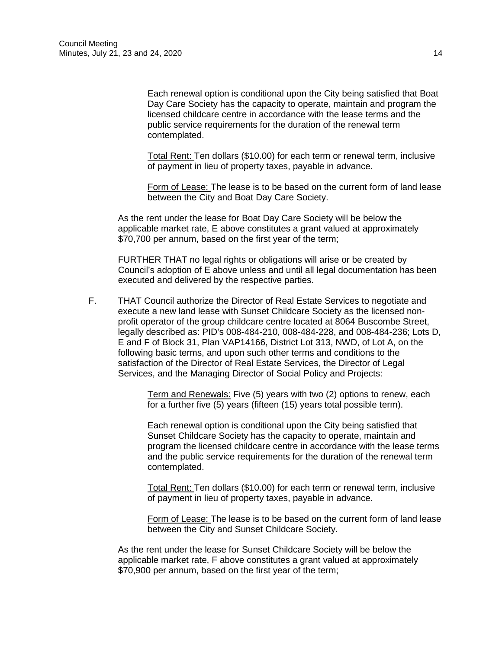Each renewal option is conditional upon the City being satisfied that Boat Day Care Society has the capacity to operate, maintain and program the licensed childcare centre in accordance with the lease terms and the public service requirements for the duration of the renewal term contemplated.

Total Rent: Ten dollars (\$10.00) for each term or renewal term, inclusive of payment in lieu of property taxes, payable in advance.

Form of Lease: The lease is to be based on the current form of land lease between the City and Boat Day Care Society.

As the rent under the lease for Boat Day Care Society will be below the applicable market rate, E above constitutes a grant valued at approximately \$70,700 per annum, based on the first year of the term;

FURTHER THAT no legal rights or obligations will arise or be created by Council's adoption of E above unless and until all legal documentation has been executed and delivered by the respective parties.

F. THAT Council authorize the Director of Real Estate Services to negotiate and execute a new land lease with Sunset Childcare Society as the licensed nonprofit operator of the group childcare centre located at 8064 Buscombe Street, legally described as: PID's 008-484-210, 008-484-228, and 008-484-236; Lots D, E and F of Block 31, Plan VAP14166, District Lot 313, NWD, of Lot A, on the following basic terms, and upon such other terms and conditions to the satisfaction of the Director of Real Estate Services, the Director of Legal Services, and the Managing Director of Social Policy and Projects:

> Term and Renewals: Five (5) years with two (2) options to renew, each for a further five (5) years (fifteen (15) years total possible term).

Each renewal option is conditional upon the City being satisfied that Sunset Childcare Society has the capacity to operate, maintain and program the licensed childcare centre in accordance with the lease terms and the public service requirements for the duration of the renewal term contemplated.

Total Rent: Ten dollars (\$10.00) for each term or renewal term, inclusive of payment in lieu of property taxes, payable in advance.

Form of Lease: The lease is to be based on the current form of land lease between the City and Sunset Childcare Society.

As the rent under the lease for Sunset Childcare Society will be below the applicable market rate, F above constitutes a grant valued at approximately \$70,900 per annum, based on the first year of the term;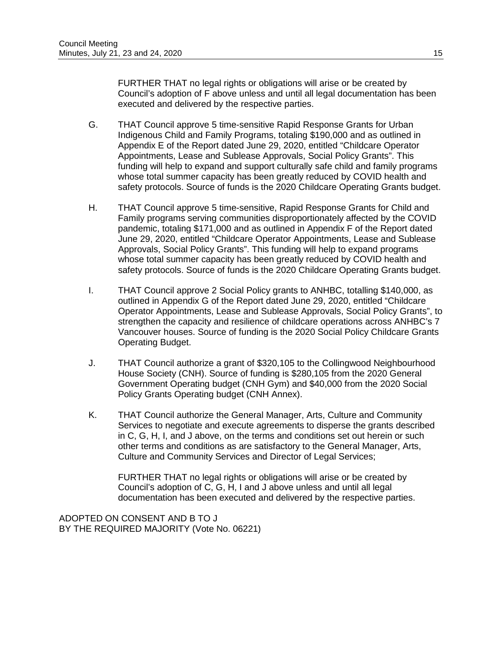FURTHER THAT no legal rights or obligations will arise or be created by Council's adoption of F above unless and until all legal documentation has been executed and delivered by the respective parties.

- G. THAT Council approve 5 time-sensitive Rapid Response Grants for Urban Indigenous Child and Family Programs, totaling \$190,000 and as outlined in Appendix E of the Report dated June 29, 2020, entitled "Childcare Operator Appointments, Lease and Sublease Approvals, Social Policy Grants". This funding will help to expand and support culturally safe child and family programs whose total summer capacity has been greatly reduced by COVID health and safety protocols. Source of funds is the 2020 Childcare Operating Grants budget.
- H. THAT Council approve 5 time-sensitive, Rapid Response Grants for Child and Family programs serving communities disproportionately affected by the COVID pandemic, totaling \$171,000 and as outlined in Appendix F of the Report dated June 29, 2020, entitled "Childcare Operator Appointments, Lease and Sublease Approvals, Social Policy Grants". This funding will help to expand programs whose total summer capacity has been greatly reduced by COVID health and safety protocols. Source of funds is the 2020 Childcare Operating Grants budget.
- I. THAT Council approve 2 Social Policy grants to ANHBC, totalling \$140,000, as outlined in Appendix G of the Report dated June 29, 2020, entitled "Childcare Operator Appointments, Lease and Sublease Approvals, Social Policy Grants", to strengthen the capacity and resilience of childcare operations across ANHBC's 7 Vancouver houses. Source of funding is the 2020 Social Policy Childcare Grants Operating Budget.
- J. THAT Council authorize a grant of \$320,105 to the Collingwood Neighbourhood House Society (CNH). Source of funding is \$280,105 from the 2020 General Government Operating budget (CNH Gym) and \$40,000 from the 2020 Social Policy Grants Operating budget (CNH Annex).
- K. THAT Council authorize the General Manager, Arts, Culture and Community Services to negotiate and execute agreements to disperse the grants described in C, G, H, I, and J above, on the terms and conditions set out herein or such other terms and conditions as are satisfactory to the General Manager, Arts, Culture and Community Services and Director of Legal Services;

FURTHER THAT no legal rights or obligations will arise or be created by Council's adoption of C, G, H, I and J above unless and until all legal documentation has been executed and delivered by the respective parties.

ADOPTED ON CONSENT AND B TO J BY THE REQUIRED MAJORITY (Vote No. 06221)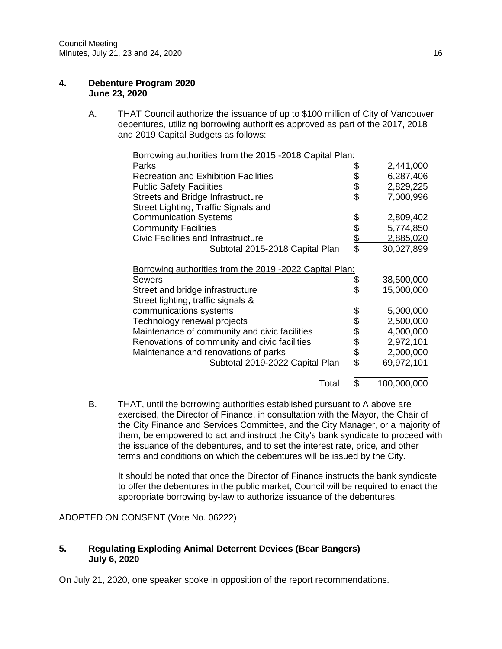#### **4. Debenture Program 2020 June 23, 2020**

A. THAT Council authorize the issuance of up to \$100 million of City of Vancouver debentures, utilizing borrowing authorities approved as part of the 2017, 2018 and 2019 Capital Budgets as follows:

| Borrowing authorities from the 2015 -2018 Capital Plan: |          |             |
|---------------------------------------------------------|----------|-------------|
| Parks                                                   | \$       | 2,441,000   |
| <b>Recreation and Exhibition Facilities</b>             |          | 6,287,406   |
| <b>Public Safety Facilities</b>                         | \$<br>\$ | 2,829,225   |
| Streets and Bridge Infrastructure                       |          | 7,000,996   |
| Street Lighting, Traffic Signals and                    |          |             |
| <b>Communication Systems</b>                            | \$       | 2,809,402   |
| <b>Community Facilities</b>                             |          | 5,774,850   |
| <b>Civic Facilities and Infrastructure</b>              | \$<br>\$ | 2,885,020   |
| Subtotal 2015-2018 Capital Plan                         |          | 30,027,899  |
| Borrowing authorities from the 2019 -2022 Capital Plan: |          |             |
| <b>Sewers</b>                                           | \$       | 38,500,000  |
| Street and bridge infrastructure                        | \$       | 15,000,000  |
| Street lighting, traffic signals &                      |          |             |
| communications systems                                  | \$       | 5,000,000   |
| Technology renewal projects                             | \$       | 2,500,000   |
| Maintenance of community and civic facilities           | \$       | 4,000,000   |
| Renovations of community and civic facilities           |          | 2,972,101   |
| Maintenance and renovations of parks                    | \$\$     | 2,000,000   |
| Subtotal 2019-2022 Capital Plan                         |          | 69,972,101  |
| Total                                                   | \$       | 100,000,000 |

B. THAT, until the borrowing authorities established pursuant to A above are exercised, the Director of Finance, in consultation with the Mayor, the Chair of the City Finance and Services Committee, and the City Manager, or a majority of them, be empowered to act and instruct the City's bank syndicate to proceed with the issuance of the debentures, and to set the interest rate, price, and other terms and conditions on which the debentures will be issued by the City.

It should be noted that once the Director of Finance instructs the bank syndicate to offer the debentures in the public market, Council will be required to enact the appropriate borrowing by-law to authorize issuance of the debentures.

ADOPTED ON CONSENT (Vote No. 06222)

### **5. Regulating Exploding Animal Deterrent Devices (Bear Bangers) July 6, 2020**

On July 21, 2020, one speaker spoke in opposition of the report recommendations.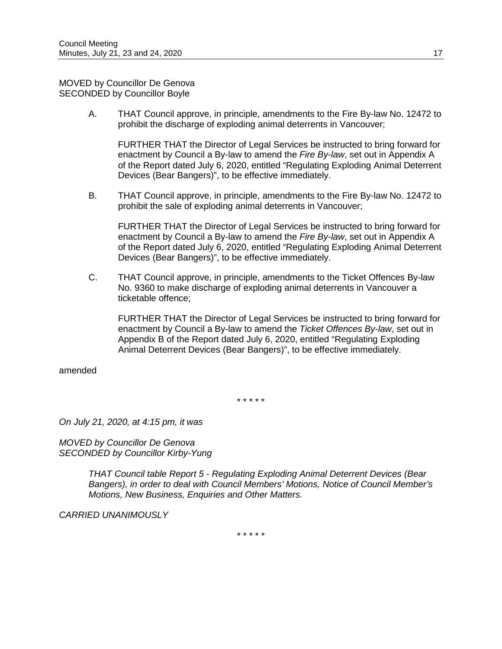MOVED by Councillor De Genova SECONDED by Councillor Boyle

> A. THAT Council approve, in principle, amendments to the Fire By-law No. 12472 to prohibit the discharge of exploding animal deterrents in Vancouver;

FURTHER THAT the Director of Legal Services be instructed to bring forward for enactment by Council a By-law to amend the *Fire By-law*, set out in Appendix A of the Report dated July 6, 2020, entitled "Regulating Exploding Animal Deterrent Devices (Bear Bangers)", to be effective immediately.

B. THAT Council approve, in principle, amendments to the Fire By-law No. 12472 to prohibit the sale of exploding animal deterrents in Vancouver;

FURTHER THAT the Director of Legal Services be instructed to bring forward for enactment by Council a By-law to amend the *Fire By-law*, set out in Appendix A of the Report dated July 6, 2020, entitled "Regulating Exploding Animal Deterrent Devices (Bear Bangers)", to be effective immediately.

C. THAT Council approve, in principle, amendments to the Ticket Offences By-law No. 9360 to make discharge of exploding animal deterrents in Vancouver a ticketable offence;

FURTHER THAT the Director of Legal Services be instructed to bring forward for enactment by Council a By-law to amend the *Ticket Offences By-law*, set out in Appendix B of the Report dated July 6, 2020, entitled "Regulating Exploding Animal Deterrent Devices (Bear Bangers)", to be effective immediately.

amended

\* \* \* \* \*

*On July 21, 2020, at 4:15 pm, it was*

*MOVED by Councillor De Genova SECONDED by Councillor Kirby-Yung*

> *THAT Council table Report 5 - Regulating Exploding Animal Deterrent Devices (Bear Bangers), in order to deal with Council Members' Motions, Notice of Council Member's Motions, New Business, Enquiries and Other Matters.*

*CARRIED UNANIMOUSLY*

\* \* \* \* \*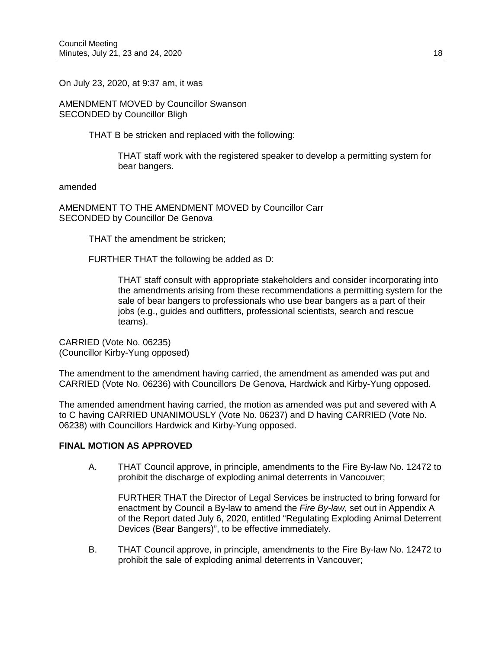On July 23, 2020, at 9:37 am, it was

AMENDMENT MOVED by Councillor Swanson SECONDED by Councillor Bligh

THAT B be stricken and replaced with the following:

THAT staff work with the registered speaker to develop a permitting system for bear bangers.

amended

AMENDMENT TO THE AMENDMENT MOVED by Councillor Carr SECONDED by Councillor De Genova

THAT the amendment be stricken;

FURTHER THAT the following be added as D:

THAT staff consult with appropriate stakeholders and consider incorporating into the amendments arising from these recommendations a permitting system for the sale of bear bangers to professionals who use bear bangers as a part of their jobs (e.g., guides and outfitters, professional scientists, search and rescue teams).

CARRIED (Vote No. 06235) (Councillor Kirby-Yung opposed)

The amendment to the amendment having carried, the amendment as amended was put and CARRIED (Vote No. 06236) with Councillors De Genova, Hardwick and Kirby-Yung opposed.

The amended amendment having carried, the motion as amended was put and severed with A to C having CARRIED UNANIMOUSLY (Vote No. 06237) and D having CARRIED (Vote No. 06238) with Councillors Hardwick and Kirby-Yung opposed.

## **FINAL MOTION AS APPROVED**

A. THAT Council approve, in principle, amendments to the Fire By-law No. 12472 to prohibit the discharge of exploding animal deterrents in Vancouver;

FURTHER THAT the Director of Legal Services be instructed to bring forward for enactment by Council a By-law to amend the *Fire By-law*, set out in Appendix A of the Report dated July 6, 2020, entitled "Regulating Exploding Animal Deterrent Devices (Bear Bangers)", to be effective immediately.

B. THAT Council approve, in principle, amendments to the Fire By-law No. 12472 to prohibit the sale of exploding animal deterrents in Vancouver;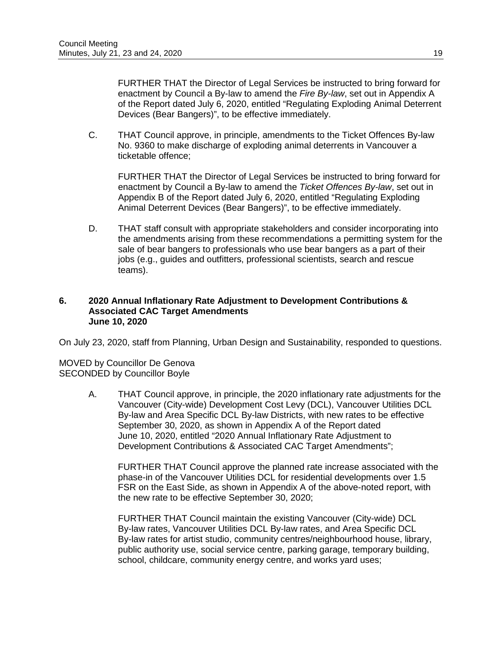FURTHER THAT the Director of Legal Services be instructed to bring forward for enactment by Council a By-law to amend the *Fire By-law*, set out in Appendix A of the Report dated July 6, 2020, entitled "Regulating Exploding Animal Deterrent Devices (Bear Bangers)", to be effective immediately.

C. THAT Council approve, in principle, amendments to the Ticket Offences By-law No. 9360 to make discharge of exploding animal deterrents in Vancouver a ticketable offence;

FURTHER THAT the Director of Legal Services be instructed to bring forward for enactment by Council a By-law to amend the *Ticket Offences By-law*, set out in Appendix B of the Report dated July 6, 2020, entitled "Regulating Exploding Animal Deterrent Devices (Bear Bangers)", to be effective immediately.

D. THAT staff consult with appropriate stakeholders and consider incorporating into the amendments arising from these recommendations a permitting system for the sale of bear bangers to professionals who use bear bangers as a part of their jobs (e.g., guides and outfitters, professional scientists, search and rescue teams).

#### **6. 2020 Annual Inflationary Rate Adjustment to Development Contributions & Associated CAC Target Amendments June 10, 2020**

On July 23, 2020, staff from Planning, Urban Design and Sustainability, responded to questions.

MOVED by Councillor De Genova SECONDED by Councillor Boyle

> A. THAT Council approve, in principle, the 2020 inflationary rate adjustments for the Vancouver (City-wide) Development Cost Levy (DCL), Vancouver Utilities DCL By-law and Area Specific DCL By-law Districts, with new rates to be effective September 30, 2020, as shown in Appendix A of the Report dated June 10, 2020, entitled "2020 Annual Inflationary Rate Adjustment to Development Contributions & Associated CAC Target Amendments";

FURTHER THAT Council approve the planned rate increase associated with the phase-in of the Vancouver Utilities DCL for residential developments over 1.5 FSR on the East Side, as shown in Appendix A of the above-noted report, with the new rate to be effective September 30, 2020;

FURTHER THAT Council maintain the existing Vancouver (City-wide) DCL By-law rates, Vancouver Utilities DCL By-law rates, and Area Specific DCL By-law rates for artist studio, community centres/neighbourhood house, library, public authority use, social service centre, parking garage, temporary building, school, childcare, community energy centre, and works yard uses;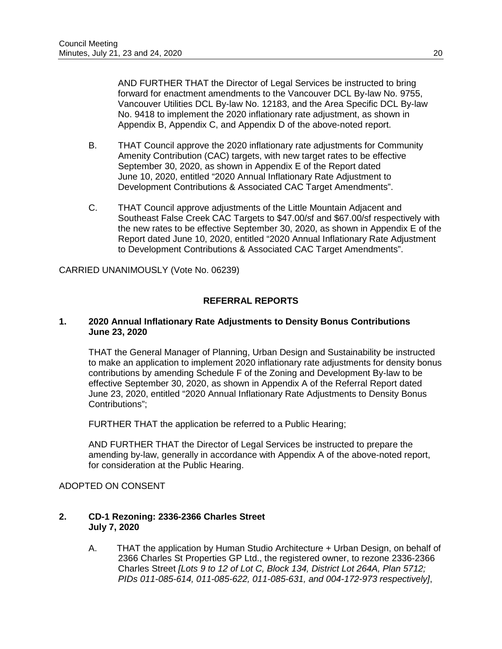AND FURTHER THAT the Director of Legal Services be instructed to bring forward for enactment amendments to the Vancouver DCL By-law No. 9755, Vancouver Utilities DCL By-law No. 12183, and the Area Specific DCL By-law No. 9418 to implement the 2020 inflationary rate adjustment, as shown in Appendix B, Appendix C, and Appendix D of the above-noted report.

- B. THAT Council approve the 2020 inflationary rate adjustments for Community Amenity Contribution (CAC) targets, with new target rates to be effective September 30, 2020, as shown in Appendix E of the Report dated June 10, 2020, entitled "2020 Annual Inflationary Rate Adjustment to Development Contributions & Associated CAC Target Amendments".
- C. THAT Council approve adjustments of the Little Mountain Adjacent and Southeast False Creek CAC Targets to \$47.00/sf and \$67.00/sf respectively with the new rates to be effective September 30, 2020, as shown in Appendix E of the Report dated June 10, 2020, entitled "2020 Annual Inflationary Rate Adjustment to Development Contributions & Associated CAC Target Amendments".

CARRIED UNANIMOUSLY (Vote No. 06239)

# **REFERRAL REPORTS**

### **1. 2020 Annual Inflationary Rate Adjustments to Density Bonus Contributions June 23, 2020**

THAT the General Manager of Planning, Urban Design and Sustainability be instructed to make an application to implement 2020 inflationary rate adjustments for density bonus contributions by amending Schedule F of the Zoning and Development By-law to be effective September 30, 2020, as shown in Appendix A of the Referral Report dated June 23, 2020, entitled "2020 Annual Inflationary Rate Adjustments to Density Bonus Contributions";

FURTHER THAT the application be referred to a Public Hearing;

AND FURTHER THAT the Director of Legal Services be instructed to prepare the amending by-law, generally in accordance with Appendix A of the above-noted report, for consideration at the Public Hearing.

## ADOPTED ON CONSENT

### **2. CD-1 Rezoning: 2336-2366 Charles Street July 7, 2020**

A. THAT the application by Human Studio Architecture + Urban Design, on behalf of 2366 Charles St Properties GP Ltd., the registered owner, to rezone 2336-2366 Charles Street *[Lots 9 to 12 of Lot C, Block 134, District Lot 264A, Plan 5712; PIDs 011-085-614, 011-085-622, 011-085-631, and 004-172-973 respectively]*,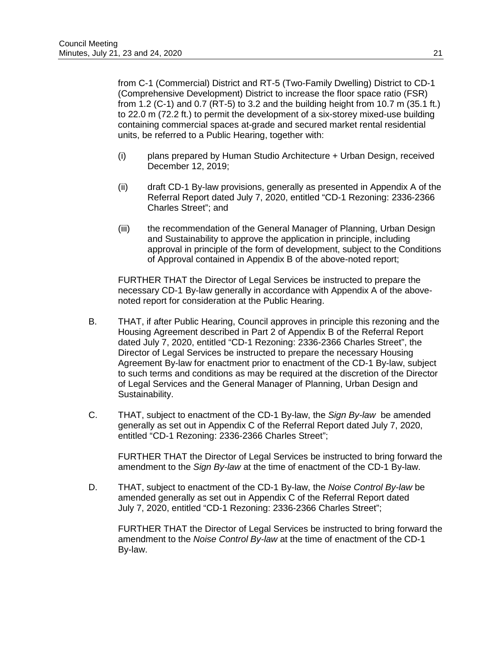from C-1 (Commercial) District and RT-5 (Two-Family Dwelling) District to CD-1 (Comprehensive Development) District to increase the floor space ratio (FSR) from 1.2 (C-1) and 0.7 (RT-5) to 3.2 and the building height from 10.7 m (35.1 ft.) to 22.0 m (72.2 ft.) to permit the development of a six-storey mixed-use building containing commercial spaces at-grade and secured market rental residential units, be referred to a Public Hearing, together with:

- (i) plans prepared by Human Studio Architecture + Urban Design, received December 12, 2019;
- (ii) draft CD-1 By-law provisions, generally as presented in Appendix A of the Referral Report dated July 7, 2020, entitled "CD-1 Rezoning: 2336-2366 Charles Street"; and
- (iii) the recommendation of the General Manager of Planning, Urban Design and Sustainability to approve the application in principle, including approval in principle of the form of development, subject to the Conditions of Approval contained in Appendix B of the above-noted report;

FURTHER THAT the Director of Legal Services be instructed to prepare the necessary CD-1 By-law generally in accordance with Appendix A of the abovenoted report for consideration at the Public Hearing.

- B. THAT, if after Public Hearing, Council approves in principle this rezoning and the Housing Agreement described in Part 2 of Appendix B of the Referral Report dated July 7, 2020, entitled "CD-1 Rezoning: 2336-2366 Charles Street", the Director of Legal Services be instructed to prepare the necessary Housing Agreement By-law for enactment prior to enactment of the CD-1 By-law, subject to such terms and conditions as may be required at the discretion of the Director of Legal Services and the General Manager of Planning, Urban Design and Sustainability.
- C. THAT, subject to enactment of the CD-1 By-law, the *Sign By-law* be amended generally as set out in Appendix C of the Referral Report dated July 7, 2020, entitled "CD-1 Rezoning: 2336-2366 Charles Street";

FURTHER THAT the Director of Legal Services be instructed to bring forward the amendment to the *Sign By-law* at the time of enactment of the CD-1 By-law.

D. THAT, subject to enactment of the CD-1 By-law, the *Noise Control By-law* be amended generally as set out in Appendix C of the Referral Report dated July 7, 2020, entitled "CD-1 Rezoning: 2336-2366 Charles Street";

FURTHER THAT the Director of Legal Services be instructed to bring forward the amendment to the *Noise Control By-law* at the time of enactment of the CD-1 By-law.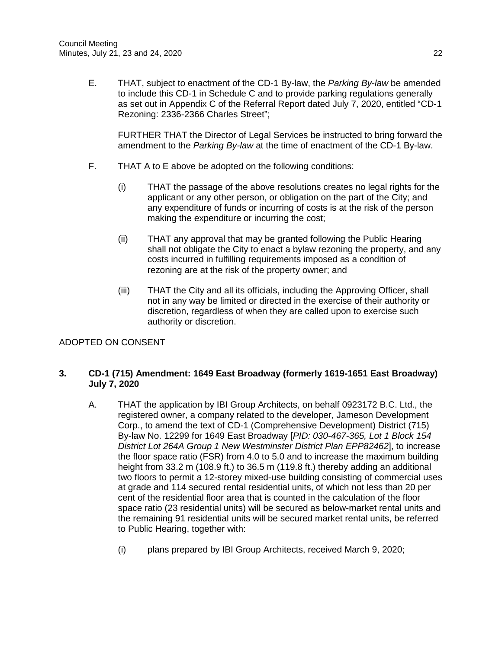E. THAT, subject to enactment of the CD-1 By-law, the *Parking By-law* be amended to include this CD-1 in Schedule C and to provide parking regulations generally as set out in Appendix C of the Referral Report dated July 7, 2020, entitled "CD-1 Rezoning: 2336-2366 Charles Street";

FURTHER THAT the Director of Legal Services be instructed to bring forward the amendment to the *Parking By-law* at the time of enactment of the CD-1 By-law.

- F. THAT A to E above be adopted on the following conditions:
	- (i) THAT the passage of the above resolutions creates no legal rights for the applicant or any other person, or obligation on the part of the City; and any expenditure of funds or incurring of costs is at the risk of the person making the expenditure or incurring the cost;
	- (ii) THAT any approval that may be granted following the Public Hearing shall not obligate the City to enact a bylaw rezoning the property, and any costs incurred in fulfilling requirements imposed as a condition of rezoning are at the risk of the property owner; and
	- (iii) THAT the City and all its officials, including the Approving Officer, shall not in any way be limited or directed in the exercise of their authority or discretion, regardless of when they are called upon to exercise such authority or discretion.

## ADOPTED ON CONSENT

## **3. CD-1 (715) Amendment: 1649 East Broadway (formerly 1619-1651 East Broadway) July 7, 2020**

- A. THAT the application by IBI Group Architects, on behalf 0923172 B.C. Ltd., the registered owner, a company related to the developer, Jameson Development Corp., to amend the text of CD-1 (Comprehensive Development) District (715) By-law No. 12299 for 1649 East Broadway [*PID: 030-467-365, Lot 1 Block 154 District Lot 264A Group 1 New Westminster District Plan EPP82462*], to increase the floor space ratio (FSR) from 4.0 to 5.0 and to increase the maximum building height from 33.2 m (108.9 ft.) to 36.5 m (119.8 ft.) thereby adding an additional two floors to permit a 12-storey mixed-use building consisting of commercial uses at grade and 114 secured rental residential units, of which not less than 20 per cent of the residential floor area that is counted in the calculation of the floor space ratio (23 residential units) will be secured as below-market rental units and the remaining 91 residential units will be secured market rental units, be referred to Public Hearing, together with:
	- (i) plans prepared by IBI Group Architects, received March 9, 2020;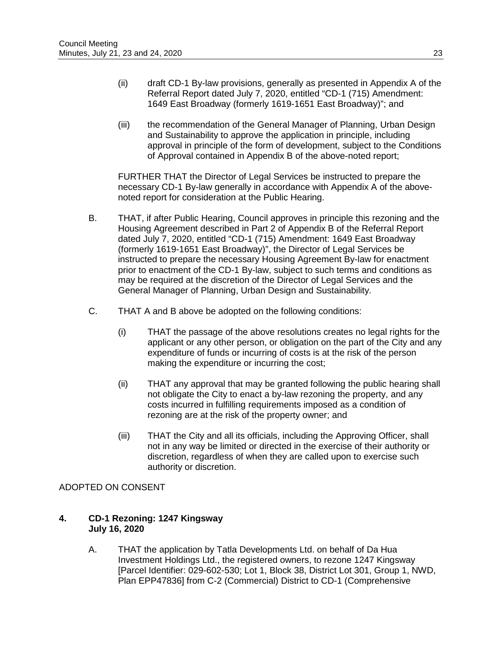- (ii) draft CD-1 By-law provisions, generally as presented in Appendix A of the Referral Report dated July 7, 2020, entitled "CD-1 (715) Amendment: 1649 East Broadway (formerly 1619-1651 East Broadway)"; and
- (iii) the recommendation of the General Manager of Planning, Urban Design and Sustainability to approve the application in principle, including approval in principle of the form of development, subject to the Conditions of Approval contained in Appendix B of the above-noted report;

FURTHER THAT the Director of Legal Services be instructed to prepare the necessary CD-1 By-law generally in accordance with Appendix A of the abovenoted report for consideration at the Public Hearing.

- B. THAT, if after Public Hearing, Council approves in principle this rezoning and the Housing Agreement described in Part 2 of Appendix B of the Referral Report dated July 7, 2020, entitled "CD-1 (715) Amendment: 1649 East Broadway (formerly 1619-1651 East Broadway)", the Director of Legal Services be instructed to prepare the necessary Housing Agreement By-law for enactment prior to enactment of the CD-1 By-law, subject to such terms and conditions as may be required at the discretion of the Director of Legal Services and the General Manager of Planning, Urban Design and Sustainability.
- C. THAT A and B above be adopted on the following conditions:
	- (i) THAT the passage of the above resolutions creates no legal rights for the applicant or any other person, or obligation on the part of the City and any expenditure of funds or incurring of costs is at the risk of the person making the expenditure or incurring the cost;
	- (ii) THAT any approval that may be granted following the public hearing shall not obligate the City to enact a by-law rezoning the property, and any costs incurred in fulfilling requirements imposed as a condition of rezoning are at the risk of the property owner; and
	- (iii) THAT the City and all its officials, including the Approving Officer, shall not in any way be limited or directed in the exercise of their authority or discretion, regardless of when they are called upon to exercise such authority or discretion.

## ADOPTED ON CONSENT

### **4. CD-1 Rezoning: 1247 Kingsway July 16, 2020**

A. THAT the application by Tatla Developments Ltd. on behalf of Da Hua Investment Holdings Ltd., the registered owners, to rezone 1247 Kingsway [Parcel Identifier: 029-602-530; Lot 1, Block 38, District Lot 301, Group 1, NWD, Plan EPP47836] from C-2 (Commercial) District to CD-1 (Comprehensive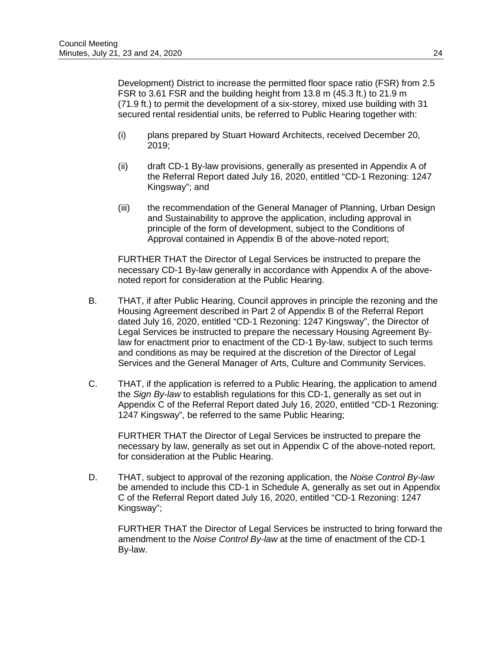Development) District to increase the permitted floor space ratio (FSR) from 2.5 FSR to 3.61 FSR and the building height from 13.8 m (45.3 ft.) to 21.9 m (71.9 ft.) to permit the development of a six-storey, mixed use building with 31 secured rental residential units, be referred to Public Hearing together with:

- (i) plans prepared by Stuart Howard Architects, received December 20, 2019;
- (ii) draft CD-1 By-law provisions, generally as presented in Appendix A of the Referral Report dated July 16, 2020, entitled "CD-1 Rezoning: 1247 Kingsway"; and
- (iii) the recommendation of the General Manager of Planning, Urban Design and Sustainability to approve the application, including approval in principle of the form of development, subject to the Conditions of Approval contained in Appendix B of the above-noted report;

FURTHER THAT the Director of Legal Services be instructed to prepare the necessary CD-1 By-law generally in accordance with Appendix A of the abovenoted report for consideration at the Public Hearing.

- B. THAT, if after Public Hearing, Council approves in principle the rezoning and the Housing Agreement described in Part 2 of Appendix B of the Referral Report dated July 16, 2020, entitled "CD-1 Rezoning: 1247 Kingsway", the Director of Legal Services be instructed to prepare the necessary Housing Agreement Bylaw for enactment prior to enactment of the CD-1 By-law, subject to such terms and conditions as may be required at the discretion of the Director of Legal Services and the General Manager of Arts, Culture and Community Services.
- C. THAT, if the application is referred to a Public Hearing, the application to amend the *Sign By-law* to establish regulations for this CD-1, generally as set out in Appendix C of the Referral Report dated July 16, 2020, entitled "CD-1 Rezoning: 1247 Kingsway", be referred to the same Public Hearing;

FURTHER THAT the Director of Legal Services be instructed to prepare the necessary by law, generally as set out in Appendix C of the above-noted report, for consideration at the Public Hearing.

D. THAT, subject to approval of the rezoning application, the *Noise Control By-law*  be amended to include this CD-1 in Schedule A, generally as set out in Appendix C of the Referral Report dated July 16, 2020, entitled "CD-1 Rezoning: 1247 Kingsway";

FURTHER THAT the Director of Legal Services be instructed to bring forward the amendment to the *Noise Control By-law* at the time of enactment of the CD-1 By-law.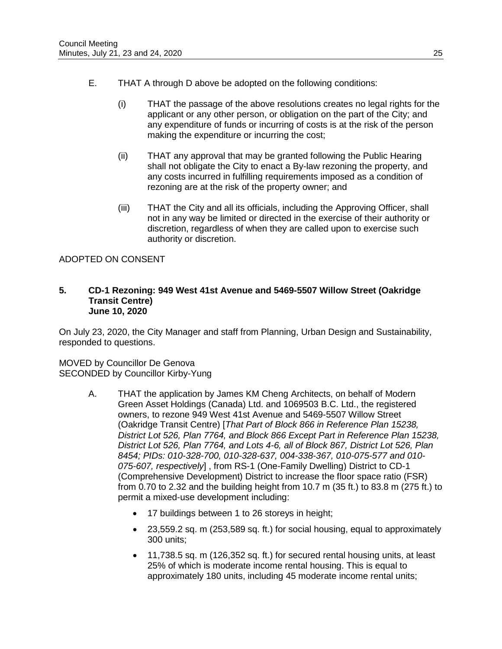- E. THAT A through D above be adopted on the following conditions:
	- (i) THAT the passage of the above resolutions creates no legal rights for the applicant or any other person, or obligation on the part of the City; and any expenditure of funds or incurring of costs is at the risk of the person making the expenditure or incurring the cost;
	- (ii) THAT any approval that may be granted following the Public Hearing shall not obligate the City to enact a By-law rezoning the property, and any costs incurred in fulfilling requirements imposed as a condition of rezoning are at the risk of the property owner; and
	- (iii) THAT the City and all its officials, including the Approving Officer, shall not in any way be limited or directed in the exercise of their authority or discretion, regardless of when they are called upon to exercise such authority or discretion.

# ADOPTED ON CONSENT

#### **5. CD-1 Rezoning: 949 West 41st Avenue and 5469-5507 Willow Street (Oakridge Transit Centre) June 10, 2020**

On July 23, 2020, the City Manager and staff from Planning, Urban Design and Sustainability, responded to questions.

MOVED by Councillor De Genova SECONDED by Councillor Kirby-Yung

- A. THAT the application by James KM Cheng Architects, on behalf of Modern Green Asset Holdings (Canada) Ltd. and 1069503 B.C. Ltd., the registered owners, to rezone 949 West 41st Avenue and 5469-5507 Willow Street (Oakridge Transit Centre) [*That Part of Block 866 in Reference Plan 15238, District Lot 526, Plan 7764, and Block 866 Except Part in Reference Plan 15238, District Lot 526, Plan 7764, and Lots 4-6, all of Block 867, District Lot 526, Plan 8454; PIDs: 010-328-700, 010-328-637, 004-338-367, 010-075-577 and 010- 075-607, respectively*] , from RS-1 (One-Family Dwelling) District to CD-1 (Comprehensive Development) District to increase the floor space ratio (FSR) from 0.70 to 2.32 and the building height from 10.7 m (35 ft.) to 83.8 m (275 ft.) to permit a mixed-use development including:
	- 17 buildings between 1 to 26 storeys in height;
	- 23,559.2 sq. m (253,589 sq. ft.) for social housing, equal to approximately 300 units;
	- 11,738.5 sq. m (126,352 sq. ft.) for secured rental housing units, at least 25% of which is moderate income rental housing. This is equal to approximately 180 units, including 45 moderate income rental units;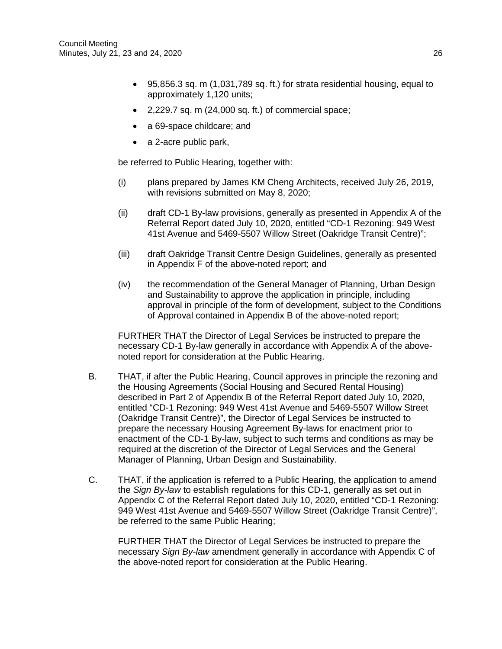- 95,856.3 sq. m (1,031,789 sq. ft.) for strata residential housing, equal to approximately 1,120 units;
- 2,229.7 sq. m (24,000 sq. ft.) of commercial space;
- a 69-space childcare; and
- a 2-acre public park,

be referred to Public Hearing, together with:

- (i) plans prepared by James KM Cheng Architects, received July 26, 2019, with revisions submitted on May 8, 2020;
- (ii) draft CD-1 By-law provisions, generally as presented in Appendix A of the Referral Report dated July 10, 2020, entitled "CD-1 Rezoning: 949 West 41st Avenue and 5469-5507 Willow Street (Oakridge Transit Centre)";
- (iii) draft Oakridge Transit Centre Design Guidelines, generally as presented in Appendix F of the above-noted report; and
- (iv) the recommendation of the General Manager of Planning, Urban Design and Sustainability to approve the application in principle, including approval in principle of the form of development, subject to the Conditions of Approval contained in Appendix B of the above-noted report;

FURTHER THAT the Director of Legal Services be instructed to prepare the necessary CD-1 By-law generally in accordance with Appendix A of the abovenoted report for consideration at the Public Hearing.

- B. THAT, if after the Public Hearing, Council approves in principle the rezoning and the Housing Agreements (Social Housing and Secured Rental Housing) described in Part 2 of Appendix B of the Referral Report dated July 10, 2020, entitled "CD-1 Rezoning: 949 West 41st Avenue and 5469-5507 Willow Street (Oakridge Transit Centre)", the Director of Legal Services be instructed to prepare the necessary Housing Agreement By-laws for enactment prior to enactment of the CD-1 By-law, subject to such terms and conditions as may be required at the discretion of the Director of Legal Services and the General Manager of Planning, Urban Design and Sustainability.
- C. THAT, if the application is referred to a Public Hearing, the application to amend the *Sign By-law* to establish regulations for this CD-1, generally as set out in Appendix C of the Referral Report dated July 10, 2020, entitled "CD-1 Rezoning: 949 West 41st Avenue and 5469-5507 Willow Street (Oakridge Transit Centre)", be referred to the same Public Hearing;

FURTHER THAT the Director of Legal Services be instructed to prepare the necessary *Sign By-law* amendment generally in accordance with Appendix C of the above-noted report for consideration at the Public Hearing.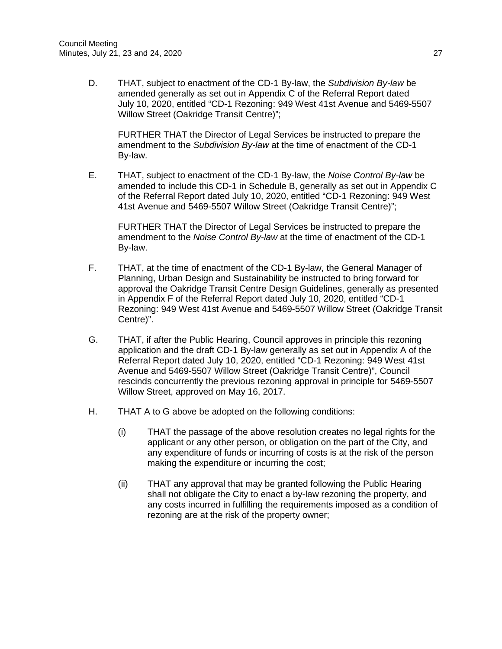D. THAT, subject to enactment of the CD-1 By-law, the *Subdivision By-law* be amended generally as set out in Appendix C of the Referral Report dated July 10, 2020, entitled "CD-1 Rezoning: 949 West 41st Avenue and 5469-5507 Willow Street (Oakridge Transit Centre)";

FURTHER THAT the Director of Legal Services be instructed to prepare the amendment to the *Subdivision By-law* at the time of enactment of the CD-1 By-law.

E. THAT, subject to enactment of the CD-1 By-law, the *Noise Control By-law* be amended to include this CD-1 in Schedule B, generally as set out in Appendix C of the Referral Report dated July 10, 2020, entitled "CD-1 Rezoning: 949 West 41st Avenue and 5469-5507 Willow Street (Oakridge Transit Centre)";

FURTHER THAT the Director of Legal Services be instructed to prepare the amendment to the *Noise Control By-law* at the time of enactment of the CD-1 By-law.

- F. THAT, at the time of enactment of the CD-1 By-law, the General Manager of Planning, Urban Design and Sustainability be instructed to bring forward for approval the Oakridge Transit Centre Design Guidelines, generally as presented in Appendix F of the Referral Report dated July 10, 2020, entitled "CD-1 Rezoning: 949 West 41st Avenue and 5469-5507 Willow Street (Oakridge Transit Centre)".
- G. THAT, if after the Public Hearing, Council approves in principle this rezoning application and the draft CD-1 By-law generally as set out in Appendix A of the Referral Report dated July 10, 2020, entitled "CD-1 Rezoning: 949 West 41st Avenue and 5469-5507 Willow Street (Oakridge Transit Centre)", Council rescinds concurrently the previous rezoning approval in principle for 5469-5507 Willow Street, approved on May 16, 2017.
- H. THAT A to G above be adopted on the following conditions:
	- (i) THAT the passage of the above resolution creates no legal rights for the applicant or any other person, or obligation on the part of the City, and any expenditure of funds or incurring of costs is at the risk of the person making the expenditure or incurring the cost;
	- (ii) THAT any approval that may be granted following the Public Hearing shall not obligate the City to enact a by-law rezoning the property, and any costs incurred in fulfilling the requirements imposed as a condition of rezoning are at the risk of the property owner;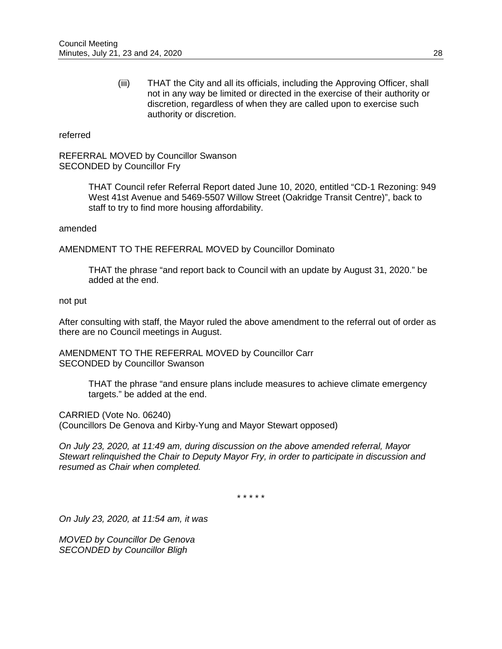(iii) THAT the City and all its officials, including the Approving Officer, shall not in any way be limited or directed in the exercise of their authority or discretion, regardless of when they are called upon to exercise such authority or discretion.

#### referred

REFERRAL MOVED by Councillor Swanson SECONDED by Councillor Fry

> THAT Council refer Referral Report dated June 10, 2020, entitled "CD-1 Rezoning: 949 West 41st Avenue and 5469-5507 Willow Street (Oakridge Transit Centre)", back to staff to try to find more housing affordability.

#### amended

AMENDMENT TO THE REFERRAL MOVED by Councillor Dominato

THAT the phrase "and report back to Council with an update by August 31, 2020." be added at the end.

#### not put

After consulting with staff, the Mayor ruled the above amendment to the referral out of order as there are no Council meetings in August.

AMENDMENT TO THE REFERRAL MOVED by Councillor Carr SECONDED by Councillor Swanson

> THAT the phrase "and ensure plans include measures to achieve climate emergency targets." be added at the end.

CARRIED (Vote No. 06240)

(Councillors De Genova and Kirby-Yung and Mayor Stewart opposed)

*On July 23, 2020, at 11:49 am, during discussion on the above amended referral, Mayor Stewart relinquished the Chair to Deputy Mayor Fry, in order to participate in discussion and resumed as Chair when completed.*

\* \* \* \* \*

*On July 23, 2020, at 11:54 am, it was*

*MOVED by Councillor De Genova SECONDED by Councillor Bligh*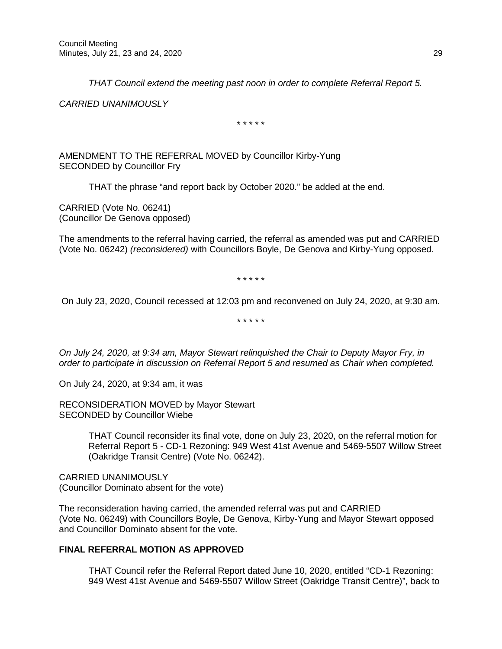*THAT Council extend the meeting past noon in order to complete Referral Report 5.*

*CARRIED UNANIMOUSLY*

\* \* \* \* \*

AMENDMENT TO THE REFERRAL MOVED by Councillor Kirby-Yung SECONDED by Councillor Fry

THAT the phrase "and report back by October 2020." be added at the end.

CARRIED (Vote No. 06241) (Councillor De Genova opposed)

The amendments to the referral having carried, the referral as amended was put and CARRIED (Vote No. 06242) *(reconsidered)* with Councillors Boyle, De Genova and Kirby-Yung opposed.

\* \* \* \* \*

On July 23, 2020, Council recessed at 12:03 pm and reconvened on July 24, 2020, at 9:30 am.

\* \* \* \* \*

*On July 24, 2020, at 9:34 am, Mayor Stewart relinquished the Chair to Deputy Mayor Fry, in order to participate in discussion on Referral Report 5 and resumed as Chair when completed.*

On July 24, 2020, at 9:34 am, it was

RECONSIDERATION MOVED by Mayor Stewart SECONDED by Councillor Wiebe

> THAT Council reconsider its final vote, done on July 23, 2020, on the referral motion for Referral Report 5 - CD-1 Rezoning: 949 West 41st Avenue and 5469-5507 Willow Street (Oakridge Transit Centre) (Vote No. 06242).

CARRIED UNANIMOUSLY (Councillor Dominato absent for the vote)

The reconsideration having carried, the amended referral was put and CARRIED (Vote No. 06249) with Councillors Boyle, De Genova, Kirby-Yung and Mayor Stewart opposed and Councillor Dominato absent for the vote.

# **FINAL REFERRAL MOTION AS APPROVED**

THAT Council refer the Referral Report dated June 10, 2020, entitled "CD-1 Rezoning: 949 West 41st Avenue and 5469-5507 Willow Street (Oakridge Transit Centre)", back to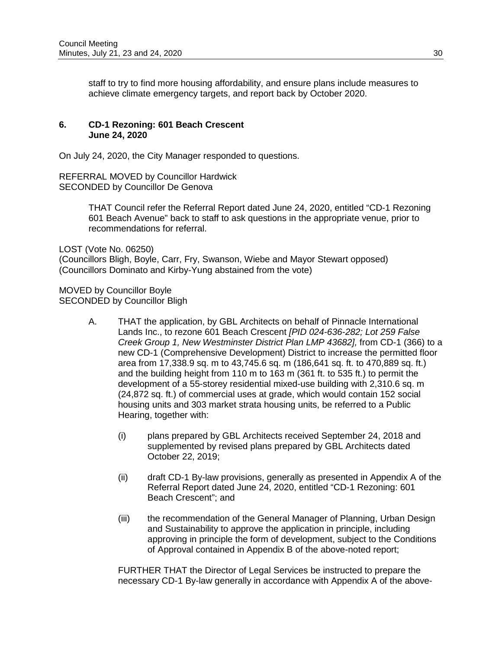staff to try to find more housing affordability, and ensure plans include measures to achieve climate emergency targets, and report back by October 2020.

### **6. CD-1 Rezoning: 601 Beach Crescent June 24, 2020**

On July 24, 2020, the City Manager responded to questions.

REFERRAL MOVED by Councillor Hardwick SECONDED by Councillor De Genova

> THAT Council refer the Referral Report dated June 24, 2020, entitled "CD-1 Rezoning 601 Beach Avenue" back to staff to ask questions in the appropriate venue, prior to recommendations for referral.

LOST (Vote No. 06250) (Councillors Bligh, Boyle, Carr, Fry, Swanson, Wiebe and Mayor Stewart opposed) (Councillors Dominato and Kirby-Yung abstained from the vote)

MOVED by Councillor Boyle SECONDED by Councillor Bligh

- A. THAT the application, by GBL Architects on behalf of Pinnacle International Lands Inc., to rezone 601 Beach Crescent *[PID 024-636-282; Lot 259 False Creek Group 1, New Westminster District Plan LMP 43682],* from CD-1 (366) to a new CD-1 (Comprehensive Development) District to increase the permitted floor area from 17,338.9 sq. m to 43,745.6 sq. m (186,641 sq. ft. to 470,889 sq. ft.) and the building height from 110 m to 163 m (361 ft. to 535 ft.) to permit the development of a 55-storey residential mixed-use building with 2,310.6 sq. m (24,872 sq. ft.) of commercial uses at grade, which would contain 152 social housing units and 303 market strata housing units, be referred to a Public Hearing, together with:
	- (i) plans prepared by GBL Architects received September 24, 2018 and supplemented by revised plans prepared by GBL Architects dated October 22, 2019;
	- (ii) draft CD-1 By-law provisions, generally as presented in Appendix A of the Referral Report dated June 24, 2020, entitled "CD-1 Rezoning: 601 Beach Crescent"; and
	- (iii) the recommendation of the General Manager of Planning, Urban Design and Sustainability to approve the application in principle, including approving in principle the form of development, subject to the Conditions of Approval contained in Appendix B of the above-noted report;

FURTHER THAT the Director of Legal Services be instructed to prepare the necessary CD-1 By-law generally in accordance with Appendix A of the above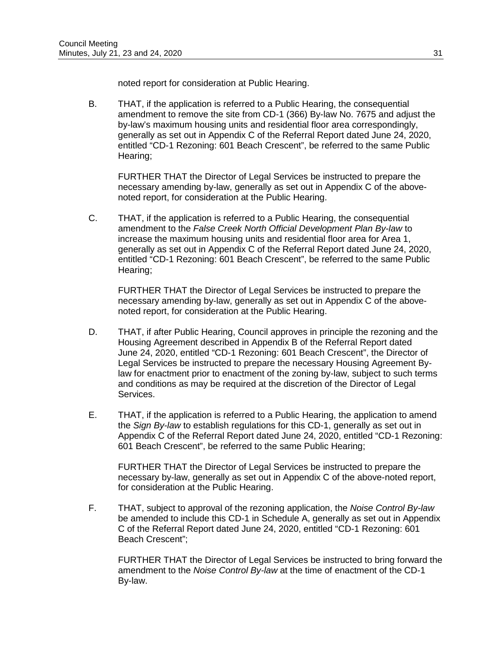noted report for consideration at Public Hearing.

B. THAT, if the application is referred to a Public Hearing, the consequential amendment to remove the site from CD-1 (366) By-law No. 7675 and adjust the by-law's maximum housing units and residential floor area correspondingly, generally as set out in Appendix C of the Referral Report dated June 24, 2020, entitled "CD-1 Rezoning: 601 Beach Crescent", be referred to the same Public Hearing;

FURTHER THAT the Director of Legal Services be instructed to prepare the necessary amending by-law, generally as set out in Appendix C of the abovenoted report, for consideration at the Public Hearing.

C. THAT, if the application is referred to a Public Hearing, the consequential amendment to the *False Creek North Official Development Plan By-law* to increase the maximum housing units and residential floor area for Area 1, generally as set out in Appendix C of the Referral Report dated June 24, 2020, entitled "CD-1 Rezoning: 601 Beach Crescent", be referred to the same Public Hearing;

FURTHER THAT the Director of Legal Services be instructed to prepare the necessary amending by-law, generally as set out in Appendix C of the abovenoted report, for consideration at the Public Hearing.

- D. THAT, if after Public Hearing, Council approves in principle the rezoning and the Housing Agreement described in Appendix B of the Referral Report dated June 24, 2020, entitled "CD-1 Rezoning: 601 Beach Crescent", the Director of Legal Services be instructed to prepare the necessary Housing Agreement Bylaw for enactment prior to enactment of the zoning by-law, subject to such terms and conditions as may be required at the discretion of the Director of Legal Services.
- E. THAT, if the application is referred to a Public Hearing, the application to amend the *Sign By-law* to establish regulations for this CD-1, generally as set out in Appendix C of the Referral Report dated June 24, 2020, entitled "CD-1 Rezoning: 601 Beach Crescent", be referred to the same Public Hearing;

FURTHER THAT the Director of Legal Services be instructed to prepare the necessary by-law, generally as set out in Appendix C of the above-noted report, for consideration at the Public Hearing.

F. THAT, subject to approval of the rezoning application, the *Noise Control By-law*  be amended to include this CD-1 in Schedule A, generally as set out in Appendix C of the Referral Report dated June 24, 2020, entitled "CD-1 Rezoning: 601 Beach Crescent";

FURTHER THAT the Director of Legal Services be instructed to bring forward the amendment to the *Noise Control By-law* at the time of enactment of the CD-1 By-law.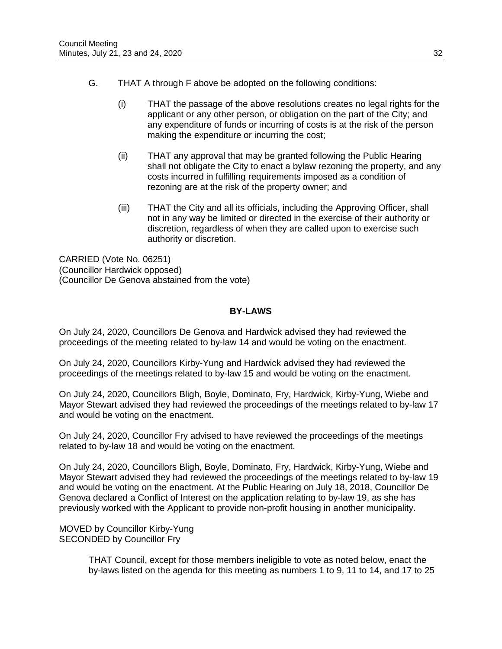- G. THAT A through F above be adopted on the following conditions:
	- (i) THAT the passage of the above resolutions creates no legal rights for the applicant or any other person, or obligation on the part of the City; and any expenditure of funds or incurring of costs is at the risk of the person making the expenditure or incurring the cost;
	- (ii) THAT any approval that may be granted following the Public Hearing shall not obligate the City to enact a bylaw rezoning the property, and any costs incurred in fulfilling requirements imposed as a condition of rezoning are at the risk of the property owner; and
	- (iii) THAT the City and all its officials, including the Approving Officer, shall not in any way be limited or directed in the exercise of their authority or discretion, regardless of when they are called upon to exercise such authority or discretion.

CARRIED (Vote No. 06251) (Councillor Hardwick opposed) (Councillor De Genova abstained from the vote)

# **BY-LAWS**

On July 24, 2020, Councillors De Genova and Hardwick advised they had reviewed the proceedings of the meeting related to by-law 14 and would be voting on the enactment.

On July 24, 2020, Councillors Kirby-Yung and Hardwick advised they had reviewed the proceedings of the meetings related to by-law 15 and would be voting on the enactment.

On July 24, 2020, Councillors Bligh, Boyle, Dominato, Fry, Hardwick, Kirby-Yung, Wiebe and Mayor Stewart advised they had reviewed the proceedings of the meetings related to by-law 17 and would be voting on the enactment.

On July 24, 2020, Councillor Fry advised to have reviewed the proceedings of the meetings related to by-law 18 and would be voting on the enactment.

On July 24, 2020, Councillors Bligh, Boyle, Dominato, Fry, Hardwick, Kirby-Yung, Wiebe and Mayor Stewart advised they had reviewed the proceedings of the meetings related to by-law 19 and would be voting on the enactment. At the Public Hearing on July 18, 2018, Councillor De Genova declared a Conflict of Interest on the application relating to by-law 19, as she has previously worked with the Applicant to provide non-profit housing in another municipality.

MOVED by Councillor Kirby-Yung SECONDED by Councillor Fry

> THAT Council, except for those members ineligible to vote as noted below, enact the by-laws listed on the agenda for this meeting as numbers 1 to 9, 11 to 14, and 17 to 25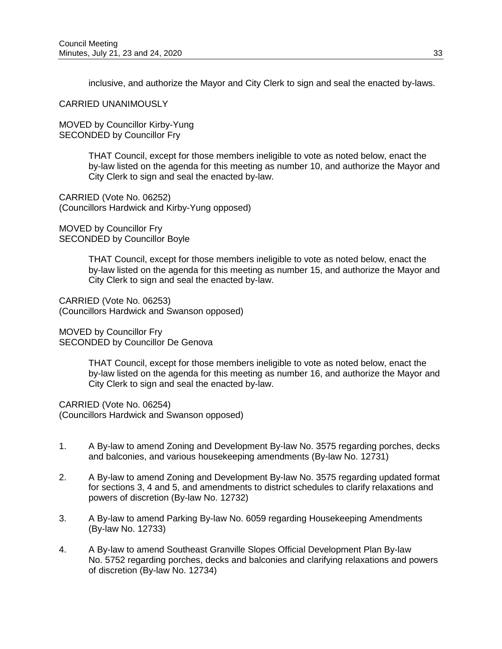inclusive, and authorize the Mayor and City Clerk to sign and seal the enacted by-laws.

CARRIED UNANIMOUSLY

MOVED by Councillor Kirby-Yung SECONDED by Councillor Fry

> THAT Council, except for those members ineligible to vote as noted below, enact the by-law listed on the agenda for this meeting as number 10, and authorize the Mayor and City Clerk to sign and seal the enacted by-law.

CARRIED (Vote No. 06252) (Councillors Hardwick and Kirby-Yung opposed)

MOVED by Councillor Fry SECONDED by Councillor Boyle

> THAT Council, except for those members ineligible to vote as noted below, enact the by-law listed on the agenda for this meeting as number 15, and authorize the Mayor and City Clerk to sign and seal the enacted by-law.

CARRIED (Vote No. 06253) (Councillors Hardwick and Swanson opposed)

MOVED by Councillor Fry SECONDED by Councillor De Genova

> THAT Council, except for those members ineligible to vote as noted below, enact the by-law listed on the agenda for this meeting as number 16, and authorize the Mayor and City Clerk to sign and seal the enacted by-law.

CARRIED (Vote No. 06254) (Councillors Hardwick and Swanson opposed)

- 1. A By-law to amend Zoning and Development By-law No. 3575 regarding porches, decks and balconies, and various housekeeping amendments (By-law No. 12731)
- 2. A By-law to amend Zoning and Development By-law No. 3575 regarding updated format for sections 3, 4 and 5, and amendments to district schedules to clarify relaxations and powers of discretion (By-law No. 12732)
- 3. A By-law to amend Parking By-law No. 6059 regarding Housekeeping Amendments (By-law No. 12733)
- 4. A By-law to amend Southeast Granville Slopes Official Development Plan By-law No. 5752 regarding porches, decks and balconies and clarifying relaxations and powers of discretion (By-law No. 12734)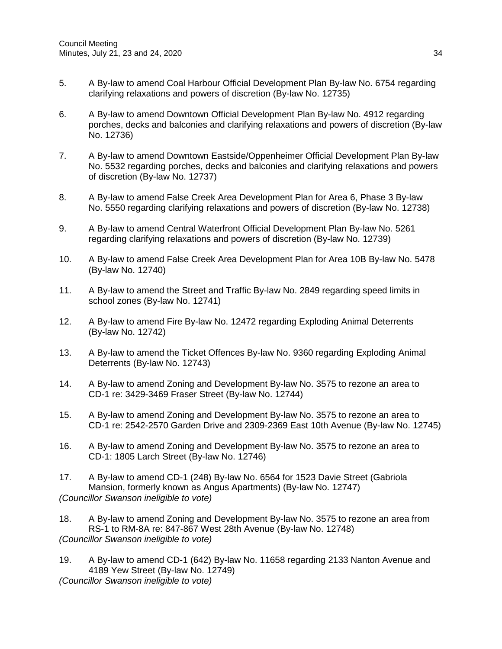- 5. A By-law to amend Coal Harbour Official Development Plan By-law No. 6754 regarding clarifying relaxations and powers of discretion (By-law No. 12735)
- 6. A By-law to amend Downtown Official Development Plan By-law No. 4912 regarding porches, decks and balconies and clarifying relaxations and powers of discretion (By-law No. 12736)
- 7. A By-law to amend Downtown Eastside/Oppenheimer Official Development Plan By-law No. 5532 regarding porches, decks and balconies and clarifying relaxations and powers of discretion (By-law No. 12737)
- 8. A By-law to amend False Creek Area Development Plan for Area 6, Phase 3 By-law No. 5550 regarding clarifying relaxations and powers of discretion (By-law No. 12738)
- 9. A By-law to amend Central Waterfront Official Development Plan By-law No. 5261 regarding clarifying relaxations and powers of discretion (By-law No. 12739)
- 10. A By-law to amend False Creek Area Development Plan for Area 10B By-law No. 5478 (By-law No. 12740)
- 11. A By-law to amend the Street and Traffic By-law No. 2849 regarding speed limits in school zones (By-law No. 12741)
- 12. A By-law to amend Fire By-law No. 12472 regarding Exploding Animal Deterrents (By-law No. 12742)
- 13. A By-law to amend the Ticket Offences By-law No. 9360 regarding Exploding Animal Deterrents (By-law No. 12743)
- 14. A By-law to amend Zoning and Development By-law No. 3575 to rezone an area to CD-1 re: 3429-3469 Fraser Street (By-law No. 12744)
- 15. A By-law to amend Zoning and Development By-law No. 3575 to rezone an area to CD-1 re: 2542-2570 Garden Drive and 2309-2369 East 10th Avenue (By-law No. 12745)
- 16. A By-law to amend Zoning and Development By-law No. 3575 to rezone an area to CD-1: 1805 Larch Street (By-law No. 12746)
- 17. A By-law to amend CD-1 (248) By-law No. 6564 for 1523 Davie Street (Gabriola Mansion, formerly known as Angus Apartments) (By-law No. 12747) *(Councillor Swanson ineligible to vote)*
- 18. A By-law to amend Zoning and Development By-law No. 3575 to rezone an area from RS-1 to RM-8A re: 847-867 West 28th Avenue (By-law No. 12748) *(Councillor Swanson ineligible to vote)*
- 19. A By-law to amend CD-1 (642) By-law No. 11658 regarding 2133 Nanton Avenue and 4189 Yew Street (By-law No. 12749) *(Councillor Swanson ineligible to vote)*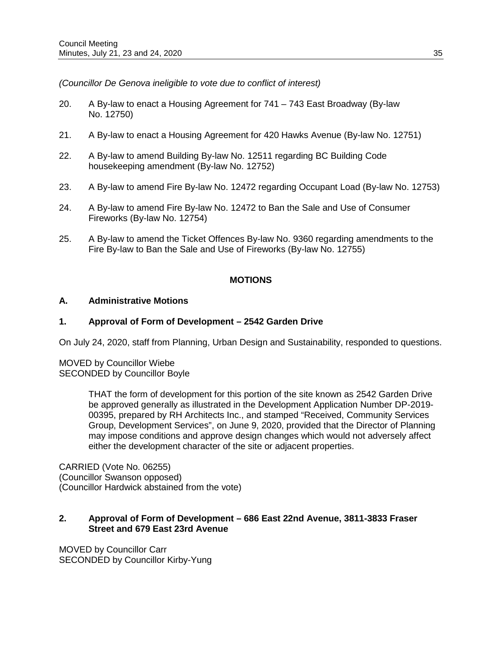*(Councillor De Genova ineligible to vote due to conflict of interest)*

- 20. A By-law to enact a Housing Agreement for 741 743 East Broadway (By-law No. 12750)
- 21. A By-law to enact a Housing Agreement for 420 Hawks Avenue (By-law No. 12751)
- 22. A By-law to amend Building By-law No. 12511 regarding BC Building Code housekeeping amendment (By-law No. 12752)
- 23. A By-law to amend Fire By-law No. 12472 regarding Occupant Load (By-law No. 12753)
- 24. A By-law to amend Fire By-law No. 12472 to Ban the Sale and Use of Consumer Fireworks (By-law No. 12754)
- 25. A By-law to amend the Ticket Offences By-law No. 9360 regarding amendments to the Fire By-law to Ban the Sale and Use of Fireworks (By-law No. 12755)

## **MOTIONS**

### **A. Administrative Motions**

### **1. Approval of Form of Development – 2542 Garden Drive**

On July 24, 2020, staff from Planning, Urban Design and Sustainability, responded to questions.

MOVED by Councillor Wiebe SECONDED by Councillor Boyle

> THAT the form of development for this portion of the site known as 2542 Garden Drive be approved generally as illustrated in the Development Application Number DP-2019- 00395, prepared by RH Architects Inc., and stamped "Received, Community Services Group, Development Services", on June 9, 2020, provided that the Director of Planning may impose conditions and approve design changes which would not adversely affect either the development character of the site or adjacent properties.

CARRIED (Vote No. 06255) (Councillor Swanson opposed) (Councillor Hardwick abstained from the vote)

### **2. Approval of Form of Development – 686 East 22nd Avenue, 3811-3833 Fraser Street and 679 East 23rd Avenue**

MOVED by Councillor Carr SECONDED by Councillor Kirby-Yung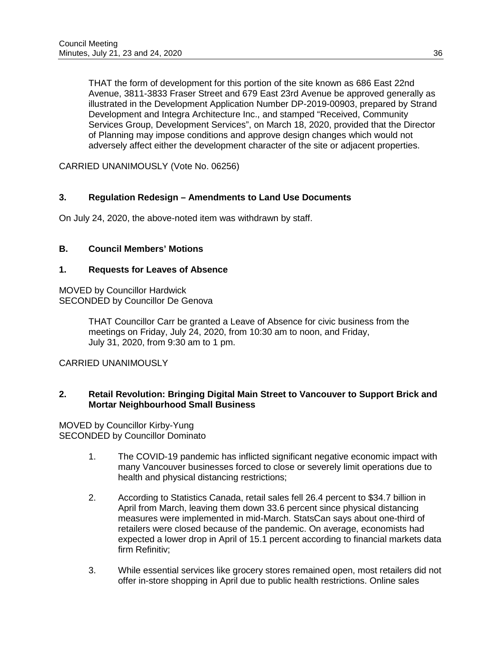THAT the form of development for this portion of the site known as 686 East 22nd Avenue, 3811-3833 Fraser Street and 679 East 23rd Avenue be approved generally as illustrated in the Development Application Number DP-2019-00903, prepared by Strand Development and Integra Architecture Inc., and stamped "Received, Community Services Group, Development Services", on March 18, 2020, provided that the Director of Planning may impose conditions and approve design changes which would not adversely affect either the development character of the site or adjacent properties.

CARRIED UNANIMOUSLY (Vote No. 06256)

## **3. Regulation Redesign – Amendments to Land Use Documents**

On July 24, 2020, the above-noted item was withdrawn by staff.

## **B. Council Members' Motions**

## **1. Requests for Leaves of Absence**

MOVED by Councillor Hardwick SECONDED by Councillor De Genova

> THAT Councillor Carr be granted a Leave of Absence for civic business from the meetings on Friday, July 24, 2020, from 10:30 am to noon, and Friday, July 31, 2020, from 9:30 am to 1 pm.

CARRIED UNANIMOUSLY

### **2. Retail Revolution: Bringing Digital Main Street to Vancouver to Support Brick and Mortar Neighbourhood Small Business**

MOVED by Councillor Kirby-Yung SECONDED by Councillor Dominato

- 1. The COVID-19 pandemic has inflicted significant negative economic impact with many Vancouver businesses forced to close or severely limit operations due to health and physical distancing restrictions;
- 2. According to Statistics Canada, retail sales fell 26.4 percent to \$34.7 billion in April from March, leaving them down 33.6 percent since physical distancing measures were implemented in mid-March. StatsCan says about one-third of retailers were closed because of the pandemic. On average, economists had expected a lower drop in April of 15.1 percent according to financial markets data firm Refinitiv;
- 3. While essential services like grocery stores remained open, most retailers did not offer in-store shopping in April due to public health restrictions. Online sales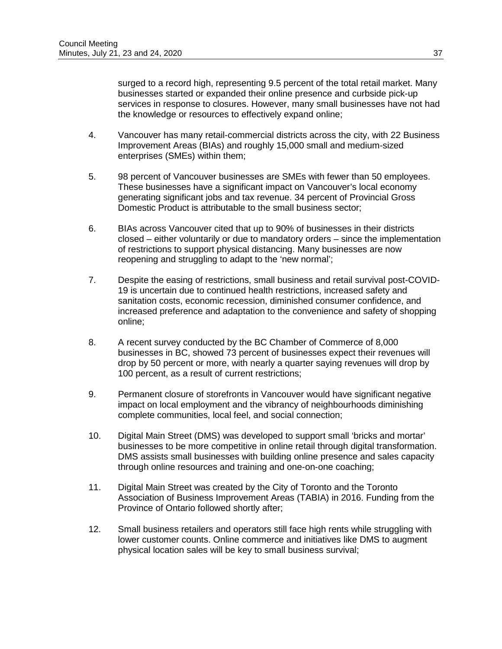surged to a record high, representing 9.5 percent of the total retail market. Many businesses started or expanded their online presence and curbside pick-up services in response to closures. However, many small businesses have not had the knowledge or resources to effectively expand online;

- 4. Vancouver has many retail-commercial districts across the city, with 22 Business Improvement Areas (BIAs) and roughly 15,000 small and medium-sized enterprises (SMEs) within them;
- 5. 98 percent of Vancouver businesses are SMEs with fewer than 50 employees. These businesses have a significant impact on Vancouver's local economy generating significant jobs and tax revenue. 34 percent of Provincial Gross Domestic Product is attributable to the small business sector;
- 6. BIAs across Vancouver cited that up to 90% of businesses in their districts closed – either voluntarily or due to mandatory orders – since the implementation of restrictions to support physical distancing. Many businesses are now reopening and struggling to adapt to the 'new normal';
- 7. Despite the easing of restrictions, small business and retail survival post-COVID-19 is uncertain due to continued health restrictions, increased safety and sanitation costs, economic recession, diminished consumer confidence, and increased preference and adaptation to the convenience and safety of shopping online;
- 8. A recent survey conducted by the BC Chamber of Commerce of 8,000 businesses in BC, showed 73 percent of businesses expect their revenues will drop by 50 percent or more, with nearly a quarter saying revenues will drop by 100 percent, as a result of current restrictions;
- 9. Permanent closure of storefronts in Vancouver would have significant negative impact on local employment and the vibrancy of neighbourhoods diminishing complete communities, local feel, and social connection;
- 10. Digital Main Street (DMS) was developed to support small 'bricks and mortar' businesses to be more competitive in online retail through digital transformation. DMS assists small businesses with building online presence and sales capacity through online resources and training and one-on-one coaching;
- 11. Digital Main Street was created by the City of Toronto and the Toronto Association of Business Improvement Areas (TABIA) in 2016. Funding from the Province of Ontario followed shortly after;
- 12. Small business retailers and operators still face high rents while struggling with lower customer counts. Online commerce and initiatives like DMS to augment physical location sales will be key to small business survival;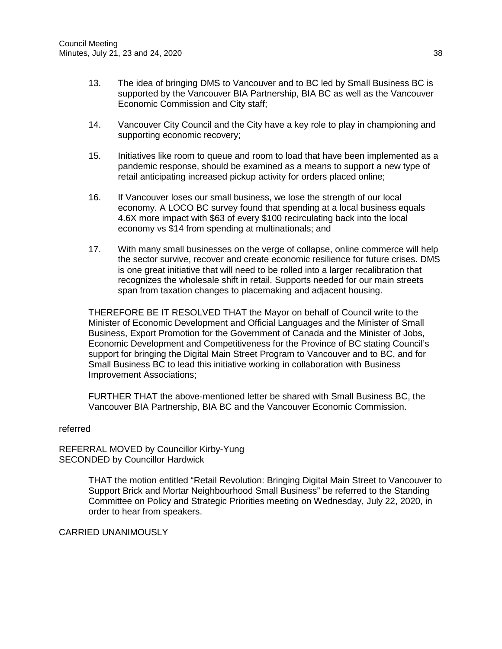- 13. The idea of bringing DMS to Vancouver and to BC led by Small Business BC is supported by the Vancouver BIA Partnership, BIA BC as well as the Vancouver Economic Commission and City staff;
- 14. Vancouver City Council and the City have a key role to play in championing and supporting economic recovery;
- 15. Initiatives like room to queue and room to load that have been implemented as a pandemic response, should be examined as a means to support a new type of retail anticipating increased pickup activity for orders placed online;
- 16. If Vancouver loses our small business, we lose the strength of our local economy. A LOCO BC survey found that spending at a local business equals 4.6X more impact with \$63 of every \$100 recirculating back into the local economy vs \$14 from spending at multinationals; and
- 17. With many small businesses on the verge of collapse, online commerce will help the sector survive, recover and create economic resilience for future crises. DMS is one great initiative that will need to be rolled into a larger recalibration that recognizes the wholesale shift in retail. Supports needed for our main streets span from taxation changes to placemaking and adjacent housing.

THEREFORE BE IT RESOLVED THAT the Mayor on behalf of Council write to the Minister of Economic Development and Official Languages and the Minister of Small Business, Export Promotion for the Government of Canada and the Minister of Jobs, Economic Development and Competitiveness for the Province of BC stating Council's support for bringing the Digital Main Street Program to Vancouver and to BC, and for Small Business BC to lead this initiative working in collaboration with Business Improvement Associations;

FURTHER THAT the above-mentioned letter be shared with Small Business BC, the Vancouver BIA Partnership, BIA BC and the Vancouver Economic Commission.

#### referred

REFERRAL MOVED by Councillor Kirby-Yung SECONDED by Councillor Hardwick

> THAT the motion entitled "Retail Revolution: Bringing Digital Main Street to Vancouver to Support Brick and Mortar Neighbourhood Small Business" be referred to the Standing Committee on Policy and Strategic Priorities meeting on Wednesday, July 22, 2020, in order to hear from speakers.

CARRIED UNANIMOUSLY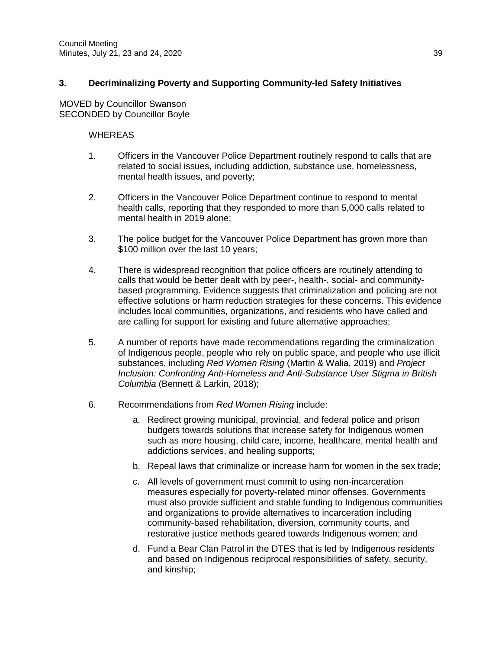## **3. Decriminalizing Poverty and Supporting Community-led Safety Initiatives**

MOVED by Councillor Swanson SECONDED by Councillor Boyle

### **WHEREAS**

- 1. Officers in the Vancouver Police Department routinely respond to calls that are related to social issues, including addiction, substance use, homelessness, mental health issues, and poverty;
- 2. Officers in the Vancouver Police Department continue to respond to mental health calls, reporting that they responded to more than 5,000 calls related to mental health in 2019 alone;
- 3. The police budget for the Vancouver Police Department has grown more than \$100 million over the last 10 years;
- 4. There is widespread recognition that police officers are routinely attending to calls that would be better dealt with by peer-, health-, social- and communitybased programming. Evidence suggests that criminalization and policing are not effective solutions or harm reduction strategies for these concerns. This evidence includes local communities, organizations, and residents who have called and are calling for support for existing and future alternative approaches;
- 5. A number of reports have made recommendations regarding the criminalization of Indigenous people, people who rely on public space, and people who use illicit substances, including *Red Women Rising* (Martin & Walia, 2019) and *Project Inclusion: Confronting Anti-Homeless and Anti-Substance User Stigma in British Columbia* (Bennett & Larkin, 2018);
- 6. Recommendations from *Red Women Rising* include:
	- a. Redirect growing municipal, provincial, and federal police and prison budgets towards solutions that increase safety for Indigenous women such as more housing, child care, income, healthcare, mental health and addictions services, and healing supports;
	- b. Repeal laws that criminalize or increase harm for women in the sex trade;
	- c. All levels of government must commit to using non-incarceration measures especially for poverty-related minor offenses. Governments must also provide sufficient and stable funding to Indigenous communities and organizations to provide alternatives to incarceration including community-based rehabilitation, diversion, community courts, and restorative justice methods geared towards Indigenous women; and
	- d. Fund a Bear Clan Patrol in the DTES that is led by Indigenous residents and based on Indigenous reciprocal responsibilities of safety, security, and kinship;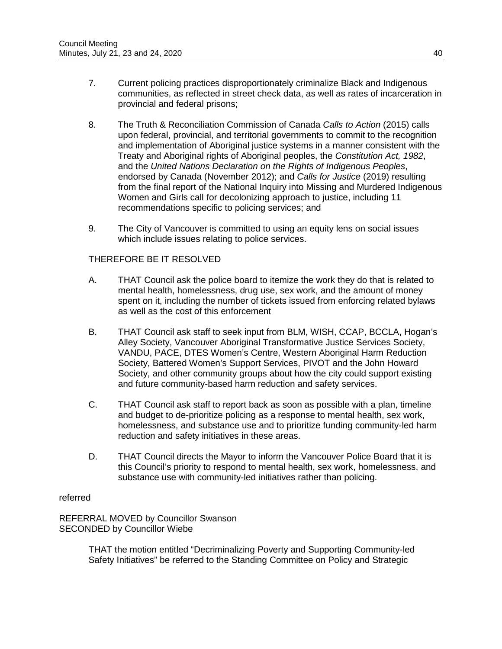- 7. Current policing practices disproportionately criminalize Black and Indigenous communities, as reflected in street check data, as well as rates of incarceration in provincial and federal prisons;
- 8. The Truth & Reconciliation Commission of Canada *Calls to Action* (2015) calls upon federal, provincial, and territorial governments to commit to the recognition and implementation of Aboriginal justice systems in a manner consistent with the Treaty and Aboriginal rights of Aboriginal peoples, the *Constitution Act, 1982*, and the *United Nations Declaration on the Rights of Indigenous Peoples*, endorsed by Canada (November 2012); and *Calls for Justice* (2019) resulting from the final report of the National Inquiry into Missing and Murdered Indigenous Women and Girls call for decolonizing approach to justice, including 11 recommendations specific to policing services; and
- 9. The City of Vancouver is committed to using an equity lens on social issues which include issues relating to police services.

## THEREFORE BE IT RESOLVED

- A. THAT Council ask the police board to itemize the work they do that is related to mental health, homelessness, drug use, sex work, and the amount of money spent on it, including the number of tickets issued from enforcing related bylaws as well as the cost of this enforcement
- B. THAT Council ask staff to seek input from BLM, WISH, CCAP, BCCLA, Hogan's Alley Society, Vancouver Aboriginal Transformative Justice Services Society, VANDU, PACE, DTES Women's Centre, Western Aboriginal Harm Reduction Society, Battered Women's Support Services, PIVOT and the John Howard Society, and other community groups about how the city could support existing and future community-based harm reduction and safety services.
- C. THAT Council ask staff to report back as soon as possible with a plan, timeline and budget to de-prioritize policing as a response to mental health, sex work, homelessness, and substance use and to prioritize funding community-led harm reduction and safety initiatives in these areas.
- D. THAT Council directs the Mayor to inform the Vancouver Police Board that it is this Council's priority to respond to mental health, sex work, homelessness, and substance use with community-led initiatives rather than policing.

#### referred

REFERRAL MOVED by Councillor Swanson SECONDED by Councillor Wiebe

> THAT the motion entitled "Decriminalizing Poverty and Supporting Community-led Safety Initiatives" be referred to the Standing Committee on Policy and Strategic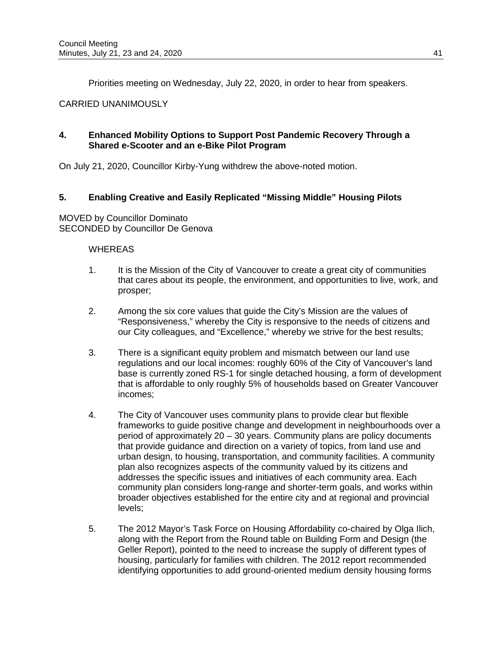Priorities meeting on Wednesday, July 22, 2020, in order to hear from speakers.

## CARRIED UNANIMOUSLY

## **4. Enhanced Mobility Options to Support Post Pandemic Recovery Through a Shared e-Scooter and an e-Bike Pilot Program**

On July 21, 2020, Councillor Kirby-Yung withdrew the above-noted motion.

## **5. Enabling Creative and Easily Replicated "Missing Middle" Housing Pilots**

MOVED by Councillor Dominato SECONDED by Councillor De Genova

### WHEREAS

- 1. It is the Mission of the City of Vancouver to create a great city of communities that cares about its people, the environment, and opportunities to live, work, and prosper;
- 2. Among the six core values that guide the City's Mission are the values of "Responsiveness," whereby the City is responsive to the needs of citizens and our City colleagues, and "Excellence," whereby we strive for the best results;
- 3. There is a significant equity problem and mismatch between our land use regulations and our local incomes: roughly 60% of the City of Vancouver's land base is currently zoned RS-1 for single detached housing, a form of development that is affordable to only roughly 5% of households based on Greater Vancouver incomes;
- 4. The City of Vancouver uses community plans to provide clear but flexible frameworks to guide positive change and development in neighbourhoods over a period of approximately 20 – 30 years. Community plans are policy documents that provide guidance and direction on a variety of topics, from land use and urban design, to housing, transportation, and community facilities. A community plan also recognizes aspects of the community valued by its citizens and addresses the specific issues and initiatives of each community area. Each community plan considers long-range and shorter-term goals, and works within broader objectives established for the entire city and at regional and provincial levels;
- 5. The 2012 Mayor's Task Force on Housing Affordability co-chaired by Olga Ilich, along with the Report from the Round table on Building Form and Design (the Geller Report), pointed to the need to increase the supply of different types of housing, particularly for families with children. The 2012 report recommended identifying opportunities to add ground-oriented medium density housing forms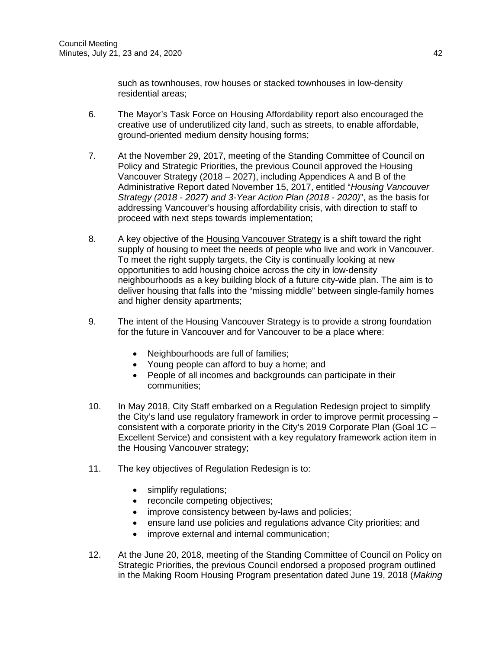such as townhouses, row houses or stacked townhouses in low-density residential areas;

- 6. The Mayor's Task Force on Housing Affordability report also encouraged the creative use of underutilized city land, such as streets, to enable affordable, ground-oriented medium density housing forms;
- 7. At the November 29, 2017, meeting of the Standing Committee of Council on Policy and Strategic Priorities, the previous Council approved the Housing Vancouver Strategy (2018 – 2027), including Appendices A and B of the Administrative Report dated November 15, 2017, entitled "*Housing Vancouver Strategy (2018 - 2027) and 3-Year Action Plan (2018 - 2020)*", as the basis for addressing Vancouver's housing affordability crisis, with direction to staff to proceed with next steps towards implementation;
- 8. A key objective of the [Housing Vancouver Strategy](https://vancouver.ca/people-programs/housing-vancouver-strategy.aspx) is a shift toward the right supply of housing to meet the needs of people who live and work in Vancouver. To meet the right supply targets, the City is continually looking at new opportunities to add housing choice across the city in low-density neighbourhoods as a key building block of a future city-wide plan. The aim is to deliver housing that falls into the "missing middle" between single-family homes and higher density apartments;
- 9. The intent of the Housing Vancouver Strategy is to provide a strong foundation for the future in Vancouver and for Vancouver to be a place where:
	- Neighbourhoods are full of families;
	- Young people can afford to buy a home; and
	- People of all incomes and backgrounds can participate in their communities;
- 10. In May 2018, City Staff embarked on a Regulation Redesign project to simplify the City's land use regulatory framework in order to improve permit processing – consistent with a corporate priority in the City's 2019 Corporate Plan (Goal 1C – Excellent Service) and consistent with a key regulatory framework action item in the Housing Vancouver strategy;
- 11. The key objectives of Regulation Redesign is to:
	- simplify regulations;
	- reconcile competing objectives;
	- improve consistency between by-laws and policies;
	- ensure land use policies and regulations advance City priorities; and
	- improve external and internal communication;
- 12. At the June 20, 2018, meeting of the Standing Committee of Council on Policy on Strategic Priorities, the previous Council endorsed a proposed program outlined in the Making Room Housing Program presentation dated June 19, 2018 (*Making*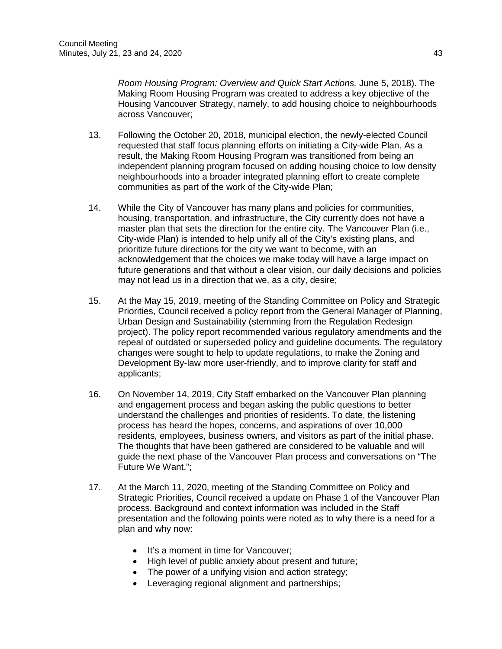*Room Housing Program: Overview and Quick Start Actions,* June 5, 2018). The Making Room Housing Program was created to address a key objective of the Housing Vancouver Strategy, namely, to add housing choice to neighbourhoods across Vancouver;

- 13. Following the October 20, 2018, municipal election, the newly-elected Council requested that staff focus planning efforts on initiating a City-wide Plan. As a result, the Making Room Housing Program was transitioned from being an independent planning program focused on adding housing choice to low density neighbourhoods into a broader integrated planning effort to create complete communities as part of the work of the City-wide Plan;
- 14. While the City of Vancouver has many plans and policies for communities, housing, transportation, and infrastructure, the City currently does not have a master plan that sets the direction for the entire city. The Vancouver Plan (i.e., City-wide Plan) is intended to help unify all of the City's existing plans, and prioritize future directions for the city we want to become, with an acknowledgement that the choices we make today will have a large impact on future generations and that without a clear vision, our daily decisions and policies may not lead us in a direction that we, as a city, desire;
- 15. At the May 15, 2019, meeting of the Standing Committee on Policy and Strategic Priorities, Council received a policy report from the General Manager of Planning, Urban Design and Sustainability (stemming from the Regulation Redesign project). The policy report recommended various regulatory amendments and the repeal of outdated or superseded policy and guideline documents. The regulatory changes were sought to help to update regulations, to make the Zoning and Development By-law more user-friendly, and to improve clarity for staff and applicants;
- 16. On November 14, 2019, City Staff embarked on the Vancouver Plan planning and engagement process and began asking the public questions to better understand the challenges and priorities of residents. To date, the listening process has heard the hopes, concerns, and aspirations of over 10,000 residents, employees, business owners, and visitors as part of the initial phase. The thoughts that have been gathered are considered to be valuable and will guide the next phase of the Vancouver Plan process and conversations on "The Future We Want.";
- 17. At the March 11, 2020, meeting of the Standing Committee on Policy and Strategic Priorities, Council received a update on Phase 1 of the Vancouver Plan process. Background and context information was included in the Staff presentation and the following points were noted as to why there is a need for a plan and why now:
	- It's a moment in time for Vancouver;
	- High level of public anxiety about present and future;
	- The power of a unifying vision and action strategy;
	- Leveraging regional alignment and partnerships;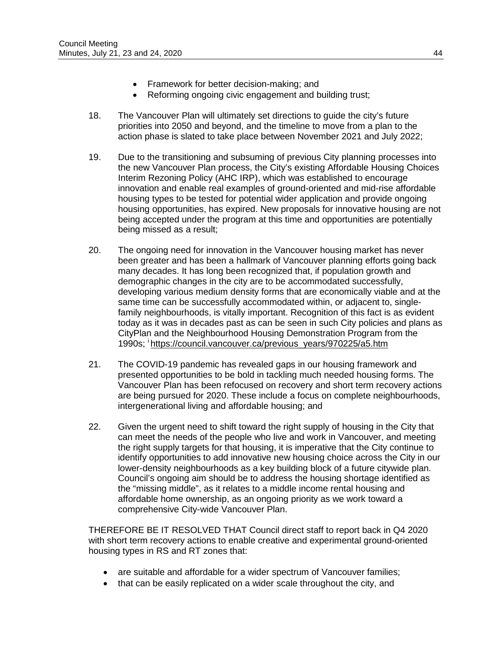- Framework for better decision-making; and
- Reforming ongoing civic engagement and building trust;
- 18. The Vancouver Plan will ultimately set directions to guide the city's future priorities into 2050 and beyond, and the timeline to move from a plan to the action phase is slated to take place between November 2021 and July 2022;
- 19. Due to the transitioning and subsuming of previous City planning processes into the new Vancouver Plan process, the City's existing Affordable Housing Choices Interim Rezoning Policy (AHC IRP), which was established to encourage innovation and enable real examples of ground-oriented and mid-rise affordable housing types to be tested for potential wider application and provide ongoing housing opportunities, has expired. New proposals for innovative housing are not being accepted under the program at this time and opportunities are potentially being missed as a result;
- 20. The ongoing need for innovation in the Vancouver housing market has never been greater and has been a hallmark of Vancouver planning efforts going back many decades. It has long been recognized that, if population growth and demographic changes in the city are to be accommodated successfully, developing various medium density forms that are economically viable and at the same time can be successfully accommodated within, or adjacent to, singlefamily neighbourhoods, is vitally important. Recognition of this fact is as evident today as it was in decades past as can be seen in such City policies and plans as CityPlan and the Neighbourhood Housing Demonstration Program from the 1990s; [i https://council.vancouver.ca/previous\\_years/970225/a5.htm](https://council.vancouver.ca/previous_years/970225/a5.htm)
- 21. The COVID-19 pandemic has revealed gaps in our housing framework and presented opportunities to be bold in tackling much needed housing forms. The Vancouver Plan has been refocused on recovery and short term recovery actions are being pursued for 2020. These include a focus on complete neighbourhoods, intergenerational living and affordable housing; and
- 22. Given the urgent need to shift toward the right supply of housing in the City that can meet the needs of the people who live and work in Vancouver, and meeting the right supply targets for that housing, it is imperative that the City continue to identify opportunities to add innovative new housing choice across the City in our lower-density neighbourhoods as a key building block of a future citywide plan. Council's ongoing aim should be to address the housing shortage identified as the "missing middle", as it relates to a middle income rental housing and affordable home ownership, as an ongoing priority as we work toward a comprehensive City-wide Vancouver Plan.

THEREFORE BE IT RESOLVED THAT Council direct staff to report back in Q4 2020 with short term recovery actions to enable creative and experimental ground-oriented housing types in RS and RT zones that:

- are suitable and affordable for a wider spectrum of Vancouver families;
- that can be easily replicated on a wider scale throughout the city, and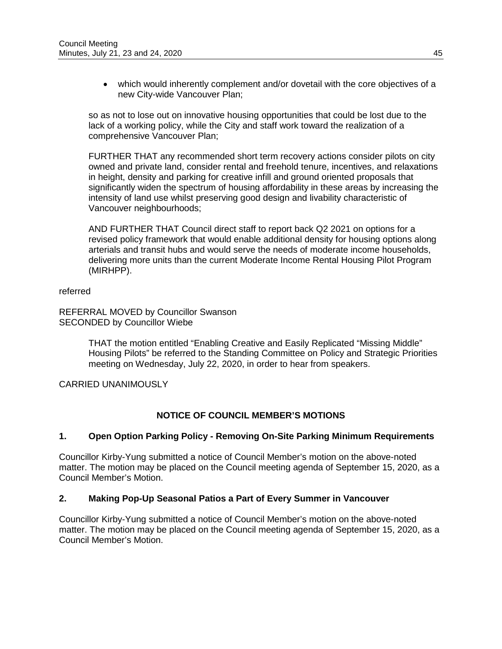• which would inherently complement and/or dovetail with the core objectives of a new City-wide Vancouver Plan;

so as not to lose out on innovative housing opportunities that could be lost due to the lack of a working policy, while the City and staff work toward the realization of a comprehensive Vancouver Plan;

FURTHER THAT any recommended short term recovery actions consider pilots on city owned and private land, consider rental and freehold tenure, incentives, and relaxations in height, density and parking for creative infill and ground oriented proposals that significantly widen the spectrum of housing affordability in these areas by increasing the intensity of land use whilst preserving good design and livability characteristic of Vancouver neighbourhoods;

AND FURTHER THAT Council direct staff to report back Q2 2021 on options for a revised policy framework that would enable additional density for housing options along arterials and transit hubs and would serve the needs of moderate income households, delivering more units than the current Moderate Income Rental Housing Pilot Program (MIRHPP).

referred

REFERRAL MOVED by Councillor Swanson SECONDED by Councillor Wiebe

> THAT the motion entitled "Enabling Creative and Easily Replicated "Missing Middle" Housing Pilots" be referred to the Standing Committee on Policy and Strategic Priorities meeting on Wednesday, July 22, 2020, in order to hear from speakers.

## CARRIED UNANIMOUSLY

## **NOTICE OF COUNCIL MEMBER'S MOTIONS**

#### **1. Open Option Parking Policy - Removing On-Site Parking Minimum Requirements**

Councillor Kirby-Yung submitted a notice of Council Member's motion on the above-noted matter. The motion may be placed on the Council meeting agenda of September 15, 2020, as a Council Member's Motion.

## **2. Making Pop-Up Seasonal Patios a Part of Every Summer in Vancouver**

Councillor Kirby-Yung submitted a notice of Council Member's motion on the above-noted matter. The motion may be placed on the Council meeting agenda of September 15, 2020, as a Council Member's Motion.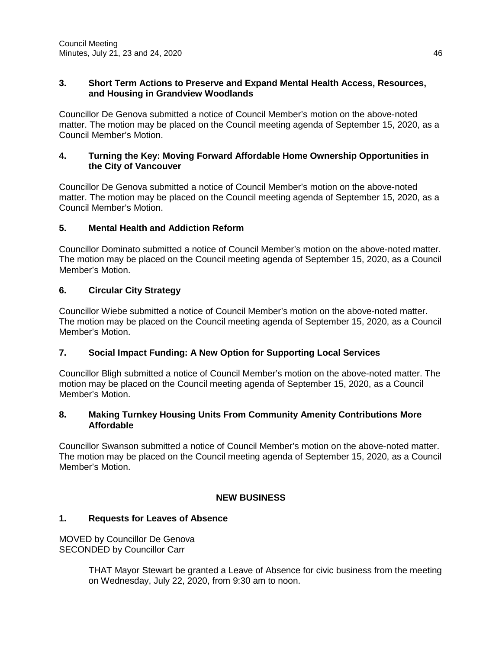### **3. Short Term Actions to Preserve and Expand Mental Health Access, Resources, and Housing in Grandview Woodlands**

Councillor De Genova submitted a notice of Council Member's motion on the above-noted matter. The motion may be placed on the Council meeting agenda of September 15, 2020, as a Council Member's Motion.

### **4. Turning the Key: Moving Forward Affordable Home Ownership Opportunities in the City of Vancouver**

Councillor De Genova submitted a notice of Council Member's motion on the above-noted matter. The motion may be placed on the Council meeting agenda of September 15, 2020, as a Council Member's Motion.

# **5. Mental Health and Addiction Reform**

Councillor Dominato submitted a notice of Council Member's motion on the above-noted matter. The motion may be placed on the Council meeting agenda of September 15, 2020, as a Council Member's Motion.

# **6. Circular City Strategy**

Councillor Wiebe submitted a notice of Council Member's motion on the above-noted matter. The motion may be placed on the Council meeting agenda of September 15, 2020, as a Council Member's Motion.

## **7. Social Impact Funding: A New Option for Supporting Local Services**

Councillor Bligh submitted a notice of Council Member's motion on the above-noted matter. The motion may be placed on the Council meeting agenda of September 15, 2020, as a Council Member's Motion.

## **8. Making Turnkey Housing Units From Community Amenity Contributions More Affordable**

Councillor Swanson submitted a notice of Council Member's motion on the above-noted matter. The motion may be placed on the Council meeting agenda of September 15, 2020, as a Council Member's Motion.

## **NEW BUSINESS**

## **1. Requests for Leaves of Absence**

MOVED by Councillor De Genova SECONDED by Councillor Carr

> THAT Mayor Stewart be granted a Leave of Absence for civic business from the meeting on Wednesday, July 22, 2020, from 9:30 am to noon.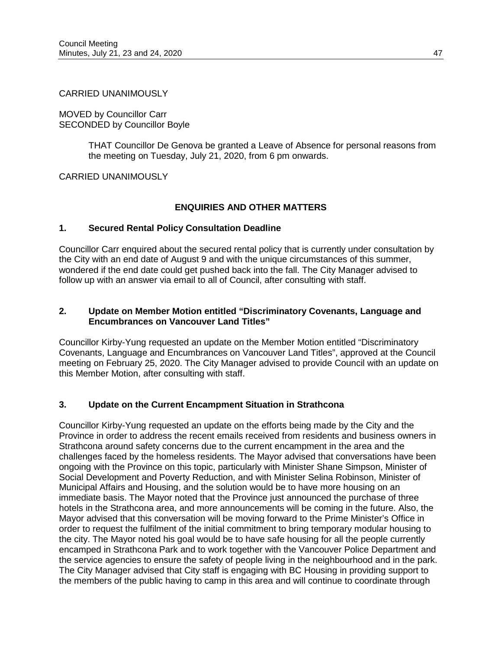#### CARRIED UNANIMOUSLY

MOVED by Councillor Carr SECONDED by Councillor Boyle

> THAT Councillor De Genova be granted a Leave of Absence for personal reasons from the meeting on Tuesday, July 21, 2020, from 6 pm onwards.

CARRIED UNANIMOUSLY

## **ENQUIRIES AND OTHER MATTERS**

## **1. Secured Rental Policy Consultation Deadline**

Councillor Carr enquired about the secured rental policy that is currently under consultation by the City with an end date of August 9 and with the unique circumstances of this summer, wondered if the end date could get pushed back into the fall. The City Manager advised to follow up with an answer via email to all of Council, after consulting with staff.

### **2. Update on Member Motion entitled "Discriminatory Covenants, Language and Encumbrances on Vancouver Land Titles"**

Councillor Kirby-Yung requested an update on the Member Motion entitled "Discriminatory Covenants, Language and Encumbrances on Vancouver Land Titles", approved at the Council meeting on February 25, 2020. The City Manager advised to provide Council with an update on this Member Motion, after consulting with staff.

## **3. Update on the Current Encampment Situation in Strathcona**

Councillor Kirby-Yung requested an update on the efforts being made by the City and the Province in order to address the recent emails received from residents and business owners in Strathcona around safety concerns due to the current encampment in the area and the challenges faced by the homeless residents. The Mayor advised that conversations have been ongoing with the Province on this topic, particularly with Minister Shane Simpson, Minister of Social Development and Poverty Reduction, and with Minister Selina Robinson, Minister of Municipal Affairs and Housing, and the solution would be to have more housing on an immediate basis. The Mayor noted that the Province just announced the purchase of three hotels in the Strathcona area, and more announcements will be coming in the future. Also, the Mayor advised that this conversation will be moving forward to the Prime Minister's Office in order to request the fulfilment of the initial commitment to bring temporary modular housing to the city. The Mayor noted his goal would be to have safe housing for all the people currently encamped in Strathcona Park and to work together with the Vancouver Police Department and the service agencies to ensure the safety of people living in the neighbourhood and in the park. The City Manager advised that City staff is engaging with BC Housing in providing support to the members of the public having to camp in this area and will continue to coordinate through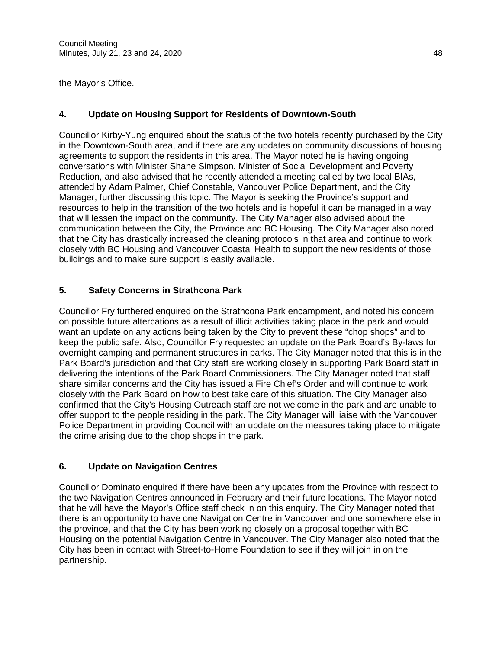the Mayor's Office.

# **4. Update on Housing Support for Residents of Downtown-South**

Councillor Kirby-Yung enquired about the status of the two hotels recently purchased by the City in the Downtown-South area, and if there are any updates on community discussions of housing agreements to support the residents in this area. The Mayor noted he is having ongoing conversations with Minister Shane Simpson, Minister of Social Development and Poverty Reduction, and also advised that he recently attended a meeting called by two local BIAs, attended by Adam Palmer, Chief Constable, Vancouver Police Department, and the City Manager, further discussing this topic. The Mayor is seeking the Province's support and resources to help in the transition of the two hotels and is hopeful it can be managed in a way that will lessen the impact on the community. The City Manager also advised about the communication between the City, the Province and BC Housing. The City Manager also noted that the City has drastically increased the cleaning protocols in that area and continue to work closely with BC Housing and Vancouver Coastal Health to support the new residents of those buildings and to make sure support is easily available.

# **5. Safety Concerns in Strathcona Park**

Councillor Fry furthered enquired on the Strathcona Park encampment, and noted his concern on possible future altercations as a result of illicit activities taking place in the park and would want an update on any actions being taken by the City to prevent these "chop shops" and to keep the public safe. Also, Councillor Fry requested an update on the Park Board's By-laws for overnight camping and permanent structures in parks. The City Manager noted that this is in the Park Board's jurisdiction and that City staff are working closely in supporting Park Board staff in delivering the intentions of the Park Board Commissioners. The City Manager noted that staff share similar concerns and the City has issued a Fire Chief's Order and will continue to work closely with the Park Board on how to best take care of this situation. The City Manager also confirmed that the City's Housing Outreach staff are not welcome in the park and are unable to offer support to the people residing in the park. The City Manager will liaise with the Vancouver Police Department in providing Council with an update on the measures taking place to mitigate the crime arising due to the chop shops in the park.

# **6. Update on Navigation Centres**

Councillor Dominato enquired if there have been any updates from the Province with respect to the two Navigation Centres announced in February and their future locations. The Mayor noted that he will have the Mayor's Office staff check in on this enquiry. The City Manager noted that there is an opportunity to have one Navigation Centre in Vancouver and one somewhere else in the province, and that the City has been working closely on a proposal together with BC Housing on the potential Navigation Centre in Vancouver. The City Manager also noted that the City has been in contact with Street-to-Home Foundation to see if they will join in on the partnership.